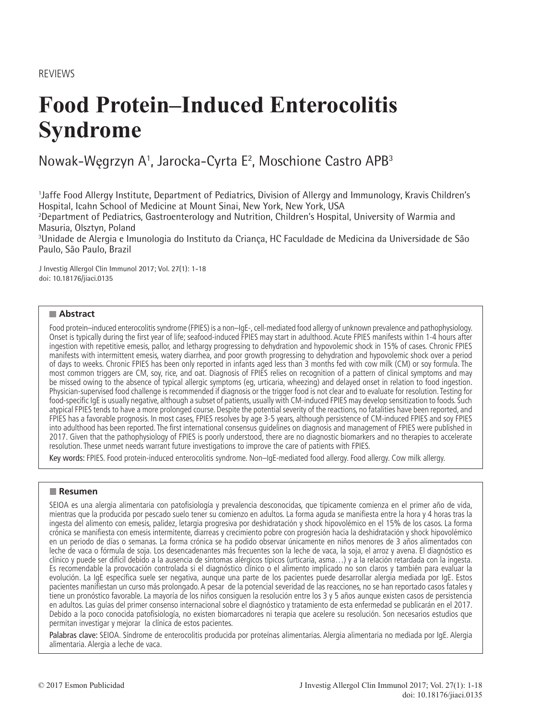# **Food Protein–Induced Enterocolitis Syndrome**

## Nowak-Węgrzyn A<sup>1</sup>, Jarocka-Cyrta E<sup>2</sup>, Moschione Castro APB<sup>3</sup>

1 Jaffe Food Allergy Institute, Department of Pediatrics, Division of Allergy and Immunology, Kravis Children's Hospital, Icahn School of Medicine at Mount Sinai, New York, New York, USA

2 Department of Pediatrics, Gastroenterology and Nutrition, Children's Hospital, University of Warmia and Masuria, Olsztyn, Poland

3 Unidade de Alergia e Imunologia do Instituto da Criança, HC Faculdade de Medicina da Universidade de São Paulo, São Paulo, Brazil

J Investig Allergol Clin Immunol 2017; Vol. 27(1): 1-18 doi: 10.18176/jiaci.0135

#### **Abstract**

Food protein–induced enterocolitis syndrome (FPIES) is a non–IgE-, cell-mediated food allergy of unknown prevalence and pathophysiology. Onset is typically during the first year of life; seafood-induced FPIES may start in adulthood. Acute FPIES manifests within 1-4 hours after ingestion with repetitive emesis, pallor, and lethargy progressing to dehydration and hypovolemic shock in 15% of cases. Chronic FPIES manifests with intermittent emesis, watery diarrhea, and poor growth progressing to dehydration and hypovolemic shock over a period of days to weeks. Chronic FPIES has been only reported in infants aged less than 3 months fed with cow milk (CM) or soy formula. The most common triggers are CM, soy, rice, and oat. Diagnosis of FPIES relies on recognition of a pattern of clinical symptoms and may be missed owing to the absence of typical allergic symptoms (eg, urticaria, wheezing) and delayed onset in relation to food ingestion. Physician-supervised food challenge is recommended if diagnosis or the trigger food is not clear and to evaluate for resolution. Testing for food-specific IgE is usually negative, although a subset of patients, usually with CM-induced FPIES may develop sensitization to foods. Such atypical FPIES tends to have a more prolonged course. Despite the potential severity of the reactions, no fatalities have been reported, and FPIES has a favorable prognosis. In most cases, FPIES resolves by age 3-5 years, although persistence of CM-induced FPIES and soy FPIES into adulthood has been reported. The first international consensus guidelines on diagnosis and management of FPIES were published in 2017. Given that the pathophysiology of FPIES is poorly understood, there are no diagnostic biomarkers and no therapies to accelerate resolution. These unmet needs warrant future investigations to improve the care of patients with FPIES.

Key words: FPIES. Food protein-induced enterocolitis syndrome. Non–IgE-mediated food allergy. Food allergy. Cow milk allergy.

#### **Resumen**

SEIOA es una alergia alimentaria con patofisiología y prevalencia desconocidas, que típicamente comienza en el primer año de vida, mientras que la producida por pescado suelo tener su comienzo en adultos. La forma aguda se manifiesta entre la hora y 4 horas tras la ingesta del alimento con emesis, palidez, letargia progresiva por deshidratación y shock hipovolémico en el 15% de los casos. La forma crónica se manifiesta con emesis intermitente, diarreas y crecimiento pobre con progresión hacia la deshidratación y shock hipovolémico en un periodo de días o semanas. La forma crónica se ha podido observar únicamente en niños menores de 3 años alimentados con leche de vaca o fórmula de soja. Los desencadenantes más frecuentes son la leche de vaca, la soja, el arroz y avena. El diagnóstico es clínico y puede ser difícil debido a la ausencia de síntomas alérgicos típicos (urticaria, asma…) y a la relación retardada con la ingesta. Es recomendable la provocación controlada si el diagnóstico clínico o el alimento implicado no son claros y también para evaluar la evolución. La IgE específica suele ser negativa, aunque una parte de los pacientes puede desarrollar alergia mediada por IgE. Estos pacientes manifiestan un curso más prolongado. A pesar de la potencial severidad de las reacciones, no se han reportado casos fatales y tiene un pronóstico favorable. La mayoría de los niños consiguen la resolución entre los 3 y 5 años aunque existen casos de persistencia en adultos. Las guías del primer consenso internacional sobre el diagnóstico y tratamiento de esta enfermedad se publicarán en el 2017. Debido a la poco conocida patofisiología, no existen biomarcadores ni terapia que acelere su resolución. Son necesarios estudios que permitan investigar y mejorar la clínica de estos pacientes.

Palabras clave: SEIOA. Síndrome de enterocolitis producida por proteínas alimentarias. Alergia alimentaria no mediada por IgE. Alergia alimentaria. Alergia a leche de vaca.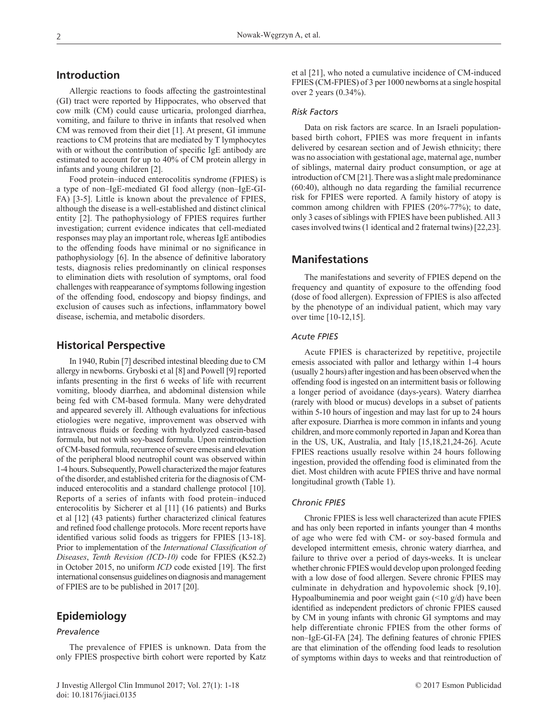#### **Introduction**

Allergic reactions to foods affecting the gastrointestinal (GI) tract were reported by Hippocrates, who observed that cow milk (CM) could cause urticaria, prolonged diarrhea, vomiting, and failure to thrive in infants that resolved when CM was removed from their diet [1]. At present, GI immune reactions to CM proteins that are mediated by T lymphocytes with or without the contribution of specific IgE antibody are estimated to account for up to 40% of CM protein allergy in infants and young children [2].

Food protein–induced enterocolitis syndrome (FPIES) is a type of non–IgE-mediated GI food allergy (non–IgE-GI-FA) [3-5]. Little is known about the prevalence of FPIES, although the disease is a well-established and distinct clinical entity [2]. The pathophysiology of FPIES requires further investigation; current evidence indicates that cell-mediated responses may play an important role, whereas IgE antibodies to the offending foods have minimal or no significance in pathophysiology [6]. In the absence of definitive laboratory tests, diagnosis relies predominantly on clinical responses to elimination diets with resolution of symptoms, oral food challenges with reappearance of symptoms following ingestion of the offending food, endoscopy and biopsy findings, and exclusion of causes such as infections, inflammatory bowel disease, ischemia, and metabolic disorders.

#### **Historical Perspective**

In 1940, Rubin [7] described intestinal bleeding due to CM allergy in newborns. Gryboski et al [8] and Powell [9] reported infants presenting in the first 6 weeks of life with recurrent vomiting, bloody diarrhea, and abdominal distension while being fed with CM-based formula. Many were dehydrated and appeared severely ill. Although evaluations for infectious etiologies were negative, improvement was observed with intravenous fluids or feeding with hydrolyzed casein-based formula, but not with soy-based formula. Upon reintroduction of CM-based formula, recurrence of severe emesis and elevation of the peripheral blood neutrophil count was observed within 1-4 hours. Subsequently, Powell characterized the major features of the disorder, and established criteria for the diagnosis of CMinduced enterocolitis and a standard challenge protocol [10]. Reports of a series of infants with food protein–induced enterocolitis by Sicherer et al [11] (16 patients) and Burks et al [12] (43 patients) further characterized clinical features and refined food challenge protocols. More recent reports have identified various solid foods as triggers for FPIES [13-18]. Prior to implementation of the *International Classification of Diseases*, *Tenth Revision (ICD-10)* code for FPIES (K52.2) in October 2015, no uniform *ICD* code existed [19]. The first international consensus guidelines on diagnosis and management of FPIES are to be published in 2017 [20].

#### **Epidemiology**

#### *Prevalence*

The prevalence of FPIES is unknown. Data from the only FPIES prospective birth cohort were reported by Katz et al [21], who noted a cumulative incidence of CM-induced FPIES (CM-FPIES) of 3 per 1000 newborns at a single hospital over 2 years (0.34%).

#### *Risk Factors*

Data on risk factors are scarce. In an Israeli populationbased birth cohort, FPIES was more frequent in infants delivered by cesarean section and of Jewish ethnicity; there was no association with gestational age, maternal age, number of siblings, maternal dairy product consumption, or age at introduction of CM [21]. There was a slight male predominance (60:40), although no data regarding the familial recurrence risk for FPIES were reported. A family history of atopy is common among children with FPIES (20%-77%); to date, only 3 cases of siblings with FPIES have been published. All 3 cases involved twins (1 identical and 2 fraternal twins) [22,23].

#### **Manifestations**

The manifestations and severity of FPIES depend on the frequency and quantity of exposure to the offending food (dose of food allergen). Expression of FPIES is also affected by the phenotype of an individual patient, which may vary over time [10-12,15].

#### *Acute FPIES*

Acute FPIES is characterized by repetitive, projectile emesis associated with pallor and lethargy within 1-4 hours (usually 2 hours) after ingestion and has been observed when the offending food is ingested on an intermittent basis or following a longer period of avoidance (days-years). Watery diarrhea (rarely with blood or mucus) develops in a subset of patients within 5-10 hours of ingestion and may last for up to 24 hours after exposure. Diarrhea is more common in infants and young children, and more commonly reported in Japan and Korea than in the US, UK, Australia, and Italy [15,18,21,24-26]. Acute FPIES reactions usually resolve within 24 hours following ingestion, provided the offending food is eliminated from the diet. Most children with acute FPIES thrive and have normal longitudinal growth (Table 1).

#### *Chronic FPIES*

Chronic FPIES is less well characterized than acute FPIES and has only been reported in infants younger than 4 months of age who were fed with CM- or soy-based formula and developed intermittent emesis, chronic watery diarrhea, and failure to thrive over a period of days-weeks. It is unclear whether chronic FPIES would develop upon prolonged feeding with a low dose of food allergen. Severe chronic FPIES may culminate in dehydration and hypovolemic shock [9,10]. Hypoalbuminemia and poor weight gain  $\left( \langle 10 \text{ g/d} \rangle \right)$  have been identified as independent predictors of chronic FPIES caused by CM in young infants with chronic GI symptoms and may help differentiate chronic FPIES from the other forms of non–IgE-GI-FA [24]. The defining features of chronic FPIES are that elimination of the offending food leads to resolution of symptoms within days to weeks and that reintroduction of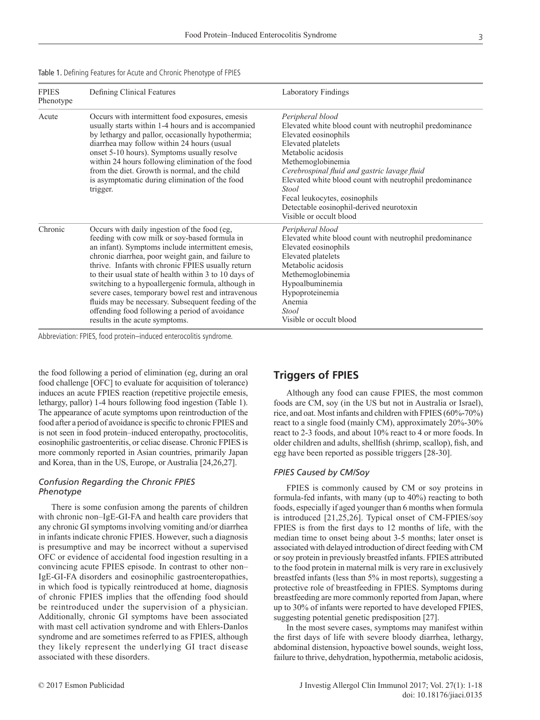| <b>FPIES</b><br>Phenotype | Defining Clinical Features                                                                                                                                                                                                                                                                                                                                                                                                                                                                                                                                                   | Laboratory Findings                                                                                                                                                                                                                                                                                                                                                                              |
|---------------------------|------------------------------------------------------------------------------------------------------------------------------------------------------------------------------------------------------------------------------------------------------------------------------------------------------------------------------------------------------------------------------------------------------------------------------------------------------------------------------------------------------------------------------------------------------------------------------|--------------------------------------------------------------------------------------------------------------------------------------------------------------------------------------------------------------------------------------------------------------------------------------------------------------------------------------------------------------------------------------------------|
| Acute                     | Occurs with intermittent food exposures, emesis<br>usually starts within 1-4 hours and is accompanied<br>by lethargy and pallor, occasionally hypothermia;<br>diarrhea may follow within 24 hours (usual<br>onset 5-10 hours). Symptoms usually resolve<br>within 24 hours following elimination of the food<br>from the diet. Growth is normal, and the child<br>is asymptomatic during elimination of the food<br>trigger.                                                                                                                                                 | Peripheral blood<br>Elevated white blood count with neutrophil predominance<br>Elevated eosinophils<br>Elevated platelets<br>Metabolic acidosis<br>Methemoglobinemia<br>Cerebrospinal fluid and gastric lavage fluid<br>Elevated white blood count with neutrophil predominance<br>Stool<br>Fecal leukocytes, eosinophils<br>Detectable eosinophil-derived neurotoxin<br>Visible or occult blood |
| Chronic                   | Occurs with daily ingestion of the food (eg,<br>feeding with cow milk or soy-based formula in<br>an infant). Symptoms include intermittent emesis,<br>chronic diarrhea, poor weight gain, and failure to<br>thrive. Infants with chronic FPIES usually return<br>to their usual state of health within 3 to 10 days of<br>switching to a hypoallergenic formula, although in<br>severe cases, temporary bowel rest and intravenous<br>fluids may be necessary. Subsequent feeding of the<br>offending food following a period of avoidance<br>results in the acute symptoms. | Peripheral blood<br>Elevated white blood count with neutrophil predominance<br>Elevated eosinophils<br>Elevated platelets<br>Metabolic acidosis<br>Methemoglobinemia<br>Hypoalbuminemia<br>Hypoproteinemia<br>Anemia<br>Stool<br>Visible or occult blood                                                                                                                                         |

Table 1. Defining Features for Acute and Chronic Phenotype of FPIES

Abbreviation: FPIES, food protein–induced enterocolitis syndrome.

the food following a period of elimination (eg, during an oral food challenge [OFC] to evaluate for acquisition of tolerance) induces an acute FPIES reaction (repetitive projectile emesis, lethargy, pallor) 1-4 hours following food ingestion (Table 1). The appearance of acute symptoms upon reintroduction of the food after a period of avoidance is specific to chronic FPIES and is not seen in food protein–induced enteropathy, proctocolitis, eosinophilic gastroenteritis, or celiac disease. Chronic FPIES is more commonly reported in Asian countries, primarily Japan and Korea, than in the US, Europe, or Australia [24,26,27].

#### *Confusion Regarding the Chronic FPIES Phenotype*

There is some confusion among the parents of children with chronic non–IgE-GI-FA and health care providers that any chronic GI symptoms involving vomiting and/or diarrhea in infants indicate chronic FPIES. However, such a diagnosis is presumptive and may be incorrect without a supervised OFC or evidence of accidental food ingestion resulting in a convincing acute FPIES episode. In contrast to other non– IgE-GI-FA disorders and eosinophilic gastroenteropathies, in which food is typically reintroduced at home, diagnosis of chronic FPIES implies that the offending food should be reintroduced under the supervision of a physician. Additionally, chronic GI symptoms have been associated with mast cell activation syndrome and with Ehlers-Danlos syndrome and are sometimes referred to as FPIES, although they likely represent the underlying GI tract disease associated with these disorders.

#### **Triggers of FPIES**

Although any food can cause FPIES, the most common foods are CM, soy (in the US but not in Australia or Israel), rice, and oat. Most infants and children with FPIES (60%-70%) react to a single food (mainly CM), approximately 20%-30% react to 2-3 foods, and about 10% react to 4 or more foods. In older children and adults, shellfish (shrimp, scallop), fish, and egg have been reported as possible triggers [28-30].

#### *FPIES Caused by CM/Soy*

FPIES is commonly caused by CM or soy proteins in formula-fed infants, with many (up to 40%) reacting to both foods, especially if aged younger than 6 months when formula is introduced [21,25,26]. Typical onset of CM-FPIES/soy FPIES is from the first days to 12 months of life, with the median time to onset being about 3-5 months; later onset is associated with delayed introduction of direct feeding with CM or soy protein in previously breastfed infants. FPIES attributed to the food protein in maternal milk is very rare in exclusively breastfed infants (less than 5% in most reports), suggesting a protective role of breastfeeding in FPIES. Symptoms during breastfeeding are more commonly reported from Japan, where up to 30% of infants were reported to have developed FPIES, suggesting potential genetic predisposition [27].

In the most severe cases, symptoms may manifest within the first days of life with severe bloody diarrhea, lethargy, abdominal distension, hypoactive bowel sounds, weight loss, failure to thrive, dehydration, hypothermia, metabolic acidosis,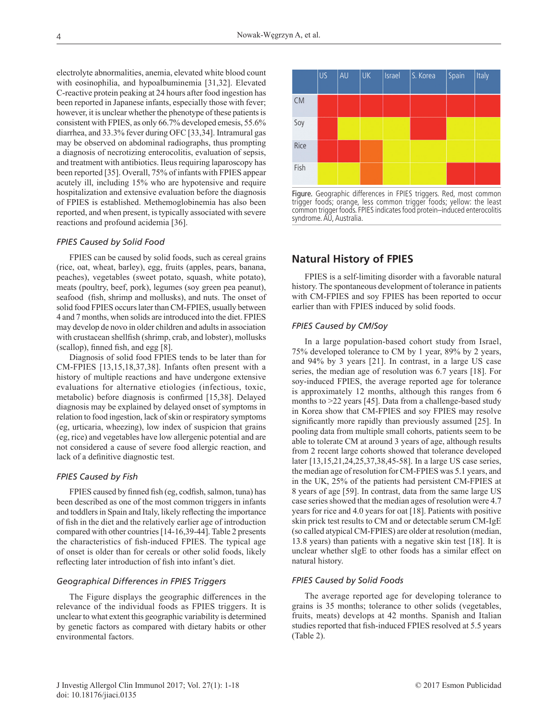electrolyte abnormalities, anemia, elevated white blood count with eosinophilia, and hypoalbuminemia [31,32]. Elevated C-reactive protein peaking at 24 hours after food ingestion has been reported in Japanese infants, especially those with fever; however, it is unclear whether the phenotype of these patients is consistent with FPIES, as only 66.7% developed emesis, 55.6% diarrhea, and 33.3% fever during OFC [33,34]. Intramural gas may be observed on abdominal radiographs, thus prompting a diagnosis of necrotizing enterocolitis, evaluation of sepsis, and treatment with antibiotics. Ileus requiring laparoscopy has been reported [35]. Overall, 75% of infants with FPIES appear acutely ill, including 15% who are hypotensive and require hospitalization and extensive evaluation before the diagnosis of FPIES is established. Methemoglobinemia has also been reported, and when present, is typically associated with severe reactions and profound acidemia [36].

#### *FPIES Caused by Solid Food*

FPIES can be caused by solid foods, such as cereal grains (rice, oat, wheat, barley), egg, fruits (apples, pears, banana, peaches), vegetables (sweet potato, squash, white potato), meats (poultry, beef, pork), legumes (soy green pea peanut), seafood (fish, shrimp and mollusks), and nuts. The onset of solid food FPIES occurs later than CM-FPIES, usually between 4 and 7 months, when solids are introduced into the diet. FPIES may develop de novo in older children and adults in association with crustacean shellfish (shrimp, crab, and lobster), mollusks (scallop), finned fish, and egg [8].

Diagnosis of solid food FPIES tends to be later than for CM-FPIES [13,15,18,37,38]. Infants often present with a history of multiple reactions and have undergone extensive evaluations for alternative etiologies (infectious, toxic, metabolic) before diagnosis is confirmed [15,38]. Delayed diagnosis may be explained by delayed onset of symptoms in relation to food ingestion, lack of skin or respiratory symptoms (eg, urticaria, wheezing), low index of suspicion that grains (eg, rice) and vegetables have low allergenic potential and are not considered a cause of severe food allergic reaction, and lack of a definitive diagnostic test.

#### *FPIES Caused by Fish*

FPIES caused by finned fish (eg, codfish, salmon, tuna) has been described as one of the most common triggers in infants and toddlers in Spain and Italy, likely reflecting the importance of fish in the diet and the relatively earlier age of introduction compared with other countries [14-16,39-44]. Table 2 presents the characteristics of fish-induced FPIES. The typical age of onset is older than for cereals or other solid foods, likely reflecting later introduction of fish into infant's diet.

#### *Geographical Differences in FPIES Triggers*

The Figure displays the geographic differences in the relevance of the individual foods as FPIES triggers. It is unclear to what extent this geographic variability is determined by genetic factors as compared with dietary habits or other environmental factors.



Figure. Geographic differences in FPIES triggers. Red, most common trigger foods; orange, less common trigger foods; yellow: the least common trigger foods. FPIES indicates food protein–induced enterocolitis syndrome. AU, Australia.

#### **Natural History of FPIES**

FPIES is a self-limiting disorder with a favorable natural history. The spontaneous development of tolerance in patients with CM-FPIES and soy FPIES has been reported to occur earlier than with FPIES induced by solid foods.

#### *FPIES Caused by CM/Soy*

In a large population-based cohort study from Israel, 75% developed tolerance to CM by 1 year, 89% by 2 years, and 94% by 3 years [21]. In contrast, in a large US case series, the median age of resolution was 6.7 years [18]. For soy-induced FPIES, the average reported age for tolerance is approximately 12 months, although this ranges from 6 months to >22 years [45]. Data from a challenge-based study in Korea show that CM-FPIES and soy FPIES may resolve significantly more rapidly than previously assumed [25]. In pooling data from multiple small cohorts, patients seem to be able to tolerate CM at around 3 years of age, although results from 2 recent large cohorts showed that tolerance developed later [13,15,21,24,25,37,38,45-58]. In a large US case series, the median age of resolution for CM-FPIES was 5.1 years, and in the UK, 25% of the patients had persistent CM-FPIES at 8 years of age [59]. In contrast, data from the same large US case series showed that the median ages of resolution were 4.7 years for rice and 4.0 years for oat [18]. Patients with positive skin prick test results to CM and or detectable serum CM-IgE (so called atypical CM-FPIES) are older at resolution (median, 13.8 years) than patients with a negative skin test [18]. It is unclear whether sIgE to other foods has a similar effect on natural history.

#### *FPIES Caused by Solid Foods*

The average reported age for developing tolerance to grains is 35 months; tolerance to other solids (vegetables, fruits, meats) develops at 42 months. Spanish and Italian studies reported that fish-induced FPIES resolved at 5.5 years (Table 2).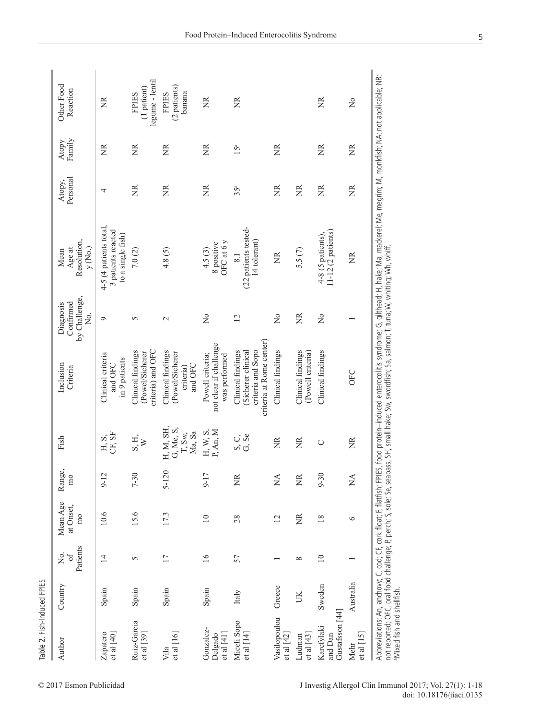| Table 2. Fish-Induced FPIES              |           |                             |                                                |                                                |                                            |                                                                                                                                                    |                                                |                                                                                                                                                                                                          |                    |                 |                                                |
|------------------------------------------|-----------|-----------------------------|------------------------------------------------|------------------------------------------------|--------------------------------------------|----------------------------------------------------------------------------------------------------------------------------------------------------|------------------------------------------------|----------------------------------------------------------------------------------------------------------------------------------------------------------------------------------------------------------|--------------------|-----------------|------------------------------------------------|
| Author                                   | Country   | Patients<br>Σó.<br>$\sigma$ | Mean Age<br>at Onset,<br>$\overline{\text{m}}$ | $\ddot{\mathbf{e}}$<br>Rango<br>m <sub>o</sub> | Fish                                       | Inclusion<br>Criteria                                                                                                                              | by Challenge,<br>Confirmed<br>Diagnosis<br>Δó. | Resolution,<br>Age at<br>y (No.)<br>Mean                                                                                                                                                                 | Personal<br>Atopy, | Family<br>Atopy | Other Food<br>Reaction                         |
| Zapatero<br>et al [40]                   | Spain     | $\overline{4}$              | 10.6                                           | $9 - 12$                                       | CF, SF<br>H, S,                            | Clinical criteria<br>in 9 patients<br>and OFC                                                                                                      | $\circ$                                        | 4-5 (4 patients total,<br>3 patients reacted<br>to a single fish)                                                                                                                                        | 4                  | Ř               | Ĕ                                              |
| Ruiz-Garcia<br>et al [39]                | Spain     | 5                           | 15.6                                           | $7 - 30$                                       | S, H,<br>$\geq$                            | criteria) and OFC<br>Clinical findings<br>(Powel/Sicherer                                                                                          | 5                                              | 7.0 (2)                                                                                                                                                                                                  | $\widetilde{R}$    | E               | legume - lentil<br>(1 patient)<br><b>FPIES</b> |
| et al [16]<br>Vila                       | Spain     | $\overline{17}$             | 17.3                                           | 5-120                                          | H, M, SH,<br>G, Me, S,<br>Ma, Sa<br>T, Sw, | Clinical findings<br>(Powel/Sicherer<br>and OFC<br>criteria)                                                                                       | $\mathbf{\sim}$                                | 4.8(5)                                                                                                                                                                                                   | ã                  | Ž               | (2 patients)<br>banana<br>FPIES                |
| Gonzalez-<br>et al [41]<br>Delgado       | Spain     | $\overline{16}$             | $\equiv$                                       | $\frac{1}{9}$                                  | H, W, S,<br>P, An, M                       | not clear if challenge<br>Powell criteria;<br>was performed                                                                                        | $\frac{1}{2}$                                  | OFC at 6 y<br>8 positive<br>4.5(3)                                                                                                                                                                       | $\frac{R}{R}$      | $\frac{R}{R}$   | ž                                              |
| Miceli Sopo<br>$et$ al $[14]$            | Italy     | 57                          | 28                                             | g                                              | G, Se<br>S, C,                             | criteria at Rome center)<br>criteria and Sopo<br>Clinical findings<br>(Sicherer clinical                                                           | $\overline{c}$                                 | (22 patients tested-<br>14 tolerant)<br>8.1                                                                                                                                                              | 35 <sup>a</sup>    | $15^a$          | ã                                              |
| Vasilopoulou<br>et al $[42]$             | Greece    |                             | $\overline{c}$                                 | $\mathbb{A}$                                   | Ĕ                                          | Clinical findings                                                                                                                                  | $\frac{1}{2}$                                  | Ĕ                                                                                                                                                                                                        | $\frac{\alpha}{2}$ | Ř               |                                                |
| et al $[43]$<br>Ludman                   | JK        | ${}^{\circ}$                | Ž                                              | Z                                              | Ž                                          | Clinical findings<br>(Powell criteria)                                                                                                             | E                                              | 5.5(7)                                                                                                                                                                                                   | E                  |                 |                                                |
| Gustafsson [44]<br>Karefylaki<br>and Dan | Sweden    | $\overline{10}$             | $\frac{8}{18}$                                 | $9 - 30$                                       | $\bigcirc$                                 | Clinical findings                                                                                                                                  | $\frac{1}{2}$                                  | 11-12 (2 patients)<br>4-8 (5 patients),                                                                                                                                                                  | E                  | E               | E                                              |
| et al [15]<br>Mehr                       | Australia |                             | $\circ$                                        | $\mathbb{X}$                                   | Ĕ                                          | OFC                                                                                                                                                |                                                | $\widetilde{\Xi}$                                                                                                                                                                                        | E                  | E               | $\frac{1}{2}$                                  |
| aMixed fish and shellfish.               |           |                             |                                                |                                                |                                            | not reported; OFC, oral food challenge; P, perch; S, sole; Se, seabass, SH, small hake; Sw, swordfish; Sa, salmon; T, tuna; W, whiting; Wh, whiff. |                                                | Abbreviations: An, and ovy; C, cod; C, cork float; F, flatfish; FPIES, food protein–induced enterocolitis syndrome; G, gilthead; H, hake; Ma, mackerel; Me, megrim; M, monkfish; NA: not applicable; NR: |                    |                 |                                                |

5<br>01.2017; Vol. 27(1): 1-18<br>doi: 10.18176/jiaci.0135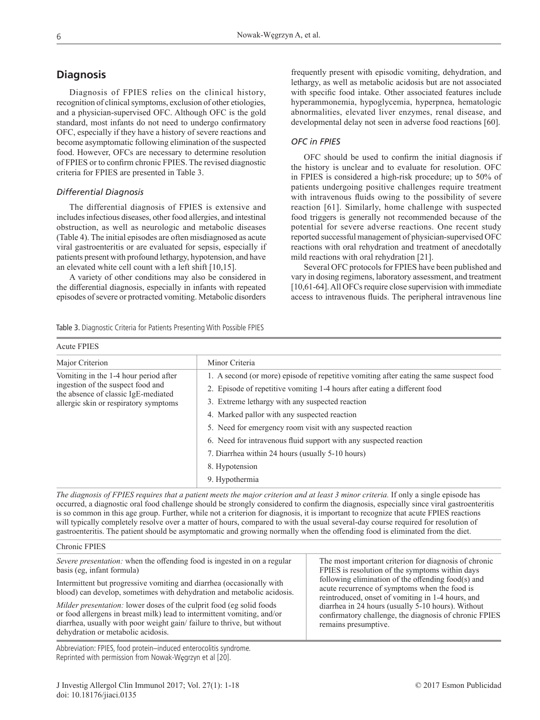#### **Diagnosis**

Diagnosis of FPIES relies on the clinical history, recognition of clinical symptoms, exclusion of other etiologies, and a physician-supervised OFC. Although OFC is the gold standard, most infants do not need to undergo confirmatory OFC, especially if they have a history of severe reactions and become asymptomatic following elimination of the suspected food. However, OFCs are necessary to determine resolution of FPIES or to confirm chronic FPIES. The revised diagnostic criteria for FPIES are presented in Table 3.

#### *Differential Diagnosis*

The differential diagnosis of FPIES is extensive and includes infectious diseases, other food allergies, and intestinal obstruction, as well as neurologic and metabolic diseases (Table 4). The initial episodes are often misdiagnosed as acute viral gastroenteritis or are evaluated for sepsis, especially if patients present with profound lethargy, hypotension, and have an elevated white cell count with a left shift [10,15].

A variety of other conditions may also be considered in the differential diagnosis, especially in infants with repeated episodes of severe or protracted vomiting. Metabolic disorders frequently present with episodic vomiting, dehydration, and lethargy, as well as metabolic acidosis but are not associated with specific food intake. Other associated features include hyperammonemia, hypoglycemia, hyperpnea, hematologic abnormalities, elevated liver enzymes, renal disease, and developmental delay not seen in adverse food reactions [60].

#### *OFC in FPIES*

OFC should be used to confirm the initial diagnosis if the history is unclear and to evaluate for resolution. OFC in FPIES is considered a high-risk procedure; up to 50% of patients undergoing positive challenges require treatment with intravenous fluids owing to the possibility of severe reaction [61]. Similarly, home challenge with suspected food triggers is generally not recommended because of the potential for severe adverse reactions. One recent study reported successful management of physician-supervised OFC reactions with oral rehydration and treatment of anecdotally mild reactions with oral rehydration [21].

Several OFC protocols for FPIES have been published and vary in dosing regimens, laboratory assessment, and treatment [10,61-64]. All OFCs require close supervision with immediate access to intravenous fluids. The peripheral intravenous line

Table 3. Diagnostic Criteria for Patients Presenting With Possible FPIES

| <b>Acute FPIES</b>                                                       |                                                                                         |  |  |  |
|--------------------------------------------------------------------------|-----------------------------------------------------------------------------------------|--|--|--|
| Major Criterion                                                          | Minor Criteria                                                                          |  |  |  |
| Vomiting in the 1-4 hour period after                                    | 1. A second (or more) episode of repetitive vomiting after eating the same suspect food |  |  |  |
| ingestion of the suspect food and<br>the absence of classic IgE-mediated | 2. Episode of repetitive vomiting 1-4 hours after eating a different food               |  |  |  |
| allergic skin or respiratory symptoms                                    | 3. Extreme lethargy with any suspected reaction                                         |  |  |  |
|                                                                          | 4. Marked pallor with any suspected reaction                                            |  |  |  |
|                                                                          | 5. Need for emergency room visit with any suspected reaction                            |  |  |  |
|                                                                          | 6. Need for intravenous fluid support with any suspected reaction                       |  |  |  |
|                                                                          | 7. Diarrhea within 24 hours (usually 5-10 hours)                                        |  |  |  |
|                                                                          | 8. Hypotension                                                                          |  |  |  |
|                                                                          | 9. Hypothermia                                                                          |  |  |  |
|                                                                          |                                                                                         |  |  |  |

*The diagnosis of FPIES requires that a patient meets the major criterion and at least 3 minor criteria.* If only a single episode has occurred, a diagnostic oral food challenge should be strongly considered to confirm the diagnosis, especially since viral gastroenteritis is so common in this age group. Further, while not a criterion for diagnosis, it is important to recognize that acute FPIES reactions will typically completely resolve over a matter of hours, compared to with the usual several-day course required for resolution of gastroenteritis. The patient should be asymptomatic and growing normally when the offending food is eliminated from the diet.

#### Chronic FPIES

| Severe presentation: when the offending food is ingested in on a regular     | The most important criterion for diagnosis of chronic  |
|------------------------------------------------------------------------------|--------------------------------------------------------|
| basis (eg. infant formula)                                                   | FPIES is resolution of the symptoms within days        |
| Intermittent but progressive vomiting and diarrhea (occasionally with        | following elimination of the offending food(s) and     |
| blood) can develop, sometimes with dehydration and metabolic acidosis.       | acute recurrence of symptoms when the food is          |
| <i>Milder presentation:</i> lower doses of the culprit food (eg solid foods) | reintroduced, onset of vomiting in 1-4 hours, and      |
| or food allergens in breast milk) lead to intermittent vomiting, and/or      | diarrhea in 24 hours (usually 5-10 hours). Without     |
| diarrhea, usually with poor weight gain/failure to thrive, but without       | confirmatory challenge, the diagnosis of chronic FPIES |
| dehydration or metabolic acidosis.                                           | remains presumptive.                                   |

Abbreviation: FPIES, food protein–induced enterocolitis syndrome. Reprinted with permission from Nowak-Węgrzyn et al [20].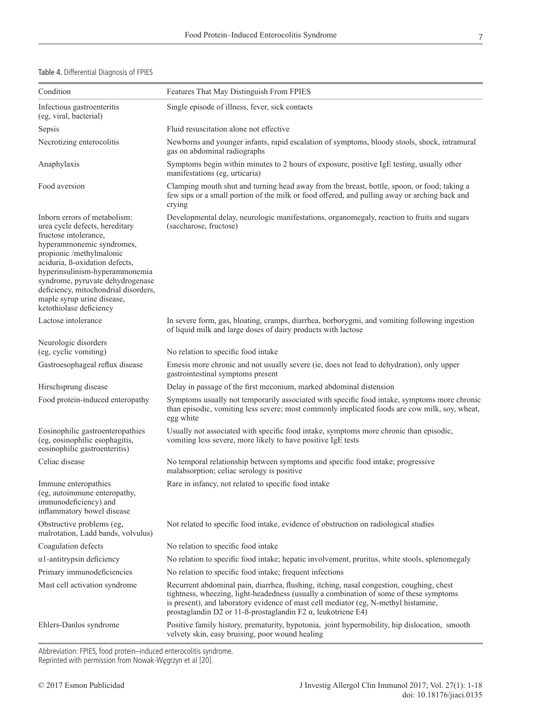#### Table 4. Differential Diagnosis of FPIES

| Condition                                                                                                                                                                                                                                                                                                                                                 | Features That May Distinguish From FPIES                                                                                                                                                                                                                                                                                                          |
|-----------------------------------------------------------------------------------------------------------------------------------------------------------------------------------------------------------------------------------------------------------------------------------------------------------------------------------------------------------|---------------------------------------------------------------------------------------------------------------------------------------------------------------------------------------------------------------------------------------------------------------------------------------------------------------------------------------------------|
| Infectious gastroenteritis<br>(eg, viral, bacterial)                                                                                                                                                                                                                                                                                                      | Single episode of illness, fever, sick contacts                                                                                                                                                                                                                                                                                                   |
| Sepsis                                                                                                                                                                                                                                                                                                                                                    | Fluid resuscitation alone not effective                                                                                                                                                                                                                                                                                                           |
| Necrotizing enterocolitis                                                                                                                                                                                                                                                                                                                                 | Newborns and younger infants, rapid escalation of symptoms, bloody stools, shock, intramural<br>gas on abdominal radiographs                                                                                                                                                                                                                      |
| Anaphylaxis                                                                                                                                                                                                                                                                                                                                               | Symptoms begin within minutes to 2 hours of exposure, positive IgE testing, usually other<br>manifestations (eg, urticaria)                                                                                                                                                                                                                       |
| Food aversion                                                                                                                                                                                                                                                                                                                                             | Clamping mouth shut and turning head away from the breast, bottle, spoon, or food; taking a<br>few sips or a small portion of the milk or food offered, and pulling away or arching back and<br>crying                                                                                                                                            |
| Inborn errors of metabolism:<br>urea cycle defects, hereditary<br>fructose intolerance,<br>hyperammonemic syndromes,<br>propionic /methylmalonic<br>aciduria, ß-oxidation defects,<br>hyperinsulinism-hyperammonemia<br>syndrome, pyruvate dehydrogenase<br>deficiency, mitochondrial disorders,<br>maple syrup urine disease,<br>ketothiolase deficiency | Developmental delay, neurologic manifestations, organomegaly, reaction to fruits and sugars<br>(saccharose, fructose)                                                                                                                                                                                                                             |
| Lactose intolerance                                                                                                                                                                                                                                                                                                                                       | In severe form, gas, bloating, cramps, diarrhea, borborygmi, and vomiting following ingestion<br>of liquid milk and large doses of dairy products with lactose                                                                                                                                                                                    |
| Neurologic disorders                                                                                                                                                                                                                                                                                                                                      |                                                                                                                                                                                                                                                                                                                                                   |
| (eg, cyclic vomiting)                                                                                                                                                                                                                                                                                                                                     | No relation to specific food intake                                                                                                                                                                                                                                                                                                               |
| Gastroesophageal reflux disease                                                                                                                                                                                                                                                                                                                           | Emesis more chronic and not usually severe (ie, does not lead to dehydration), only upper<br>gastrointestinal symptoms present                                                                                                                                                                                                                    |
| Hirschsprung disease                                                                                                                                                                                                                                                                                                                                      | Delay in passage of the first meconium, marked abdominal distension                                                                                                                                                                                                                                                                               |
| Food protein-induced enteropathy                                                                                                                                                                                                                                                                                                                          | Symptoms usually not temporarily associated with specific food intake, symptoms more chronic<br>than episodic, vomiting less severe; most commonly implicated foods are cow milk, soy, wheat,<br>egg white                                                                                                                                        |
| Eosinophilic gastroenteropathies<br>(eg, eosinophilic esophagitis,<br>eosinophilic gastroenteritis)                                                                                                                                                                                                                                                       | Usually not associated with specific food intake, symptoms more chronic than episodic,<br>vomiting less severe, more likely to have positive IgE tests                                                                                                                                                                                            |
| Celiac disease                                                                                                                                                                                                                                                                                                                                            | No temporal relationship between symptoms and specific food intake; progressive<br>malabsorption; celiac serology is positive                                                                                                                                                                                                                     |
| Immune enteropathies<br>(eg, autoimmune enteropathy,<br>immunodeficiency) and<br>inflammatory bowel disease                                                                                                                                                                                                                                               | Rare in infancy, not related to specific food intake                                                                                                                                                                                                                                                                                              |
| Obstructive problems (eg,<br>malrotation, Ladd bands, volvulus)                                                                                                                                                                                                                                                                                           | Not related to specific food intake, evidence of obstruction on radiological studies                                                                                                                                                                                                                                                              |
| Coagulation defects                                                                                                                                                                                                                                                                                                                                       | No relation to specific food intake                                                                                                                                                                                                                                                                                                               |
| $\alpha$ 1-antitrypsin deficiency                                                                                                                                                                                                                                                                                                                         | No relation to specific food intake; hepatic involvement, pruritus, white stools, splenomegaly                                                                                                                                                                                                                                                    |
| Primary immunodeficiencies                                                                                                                                                                                                                                                                                                                                | No relation to specific food intake; frequent infections                                                                                                                                                                                                                                                                                          |
| Mast cell activation syndrome                                                                                                                                                                                                                                                                                                                             | Recurrent abdominal pain, diarrhea, flushing, itching, nasal congestion, coughing, chest<br>tightness, wheezing, light-headedness (usually a combination of some of these symptoms<br>is present), and laboratory evidence of mast cell mediator (eg, N-methyl histamine,<br>prostaglandin D2 or 11-ß-prostaglandin F2 $\alpha$ , leukotriene E4) |
| Ehlers-Danlos syndrome                                                                                                                                                                                                                                                                                                                                    | Positive family history, prematurity, hypotonia, joint hypermobility, hip dislocation, smooth<br>velvety skin, easy bruising, poor wound healing                                                                                                                                                                                                  |

Abbreviation: FPIES, food protein–induced enterocolitis syndrome. Reprinted with permission from Nowak-Węgrzyn et al [20].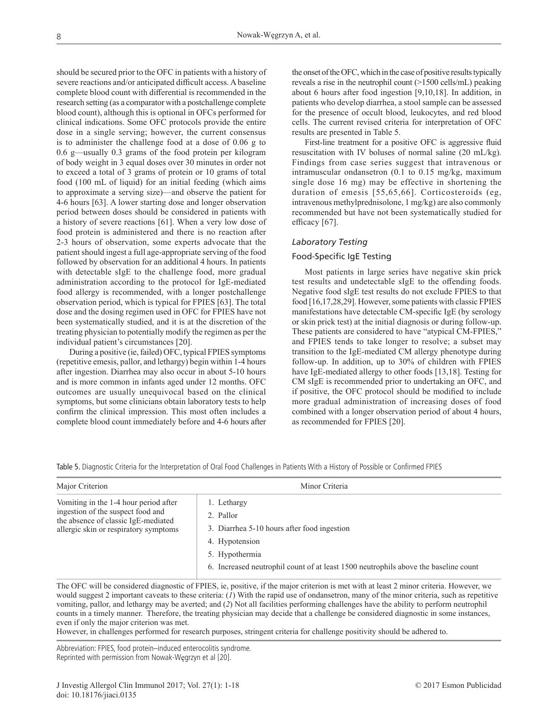should be secured prior to the OFC in patients with a history of severe reactions and/or anticipated difficult access. A baseline complete blood count with differential is recommended in the research setting (as a comparator with a postchallenge complete blood count), although this is optional in OFCs performed for clinical indications. Some OFC protocols provide the entire dose in a single serving; however, the current consensus is to administer the challenge food at a dose of 0.06 g to 0.6 g—usually 0.3 grams of the food protein per kilogram of body weight in 3 equal doses over 30 minutes in order not to exceed a total of 3 grams of protein or 10 grams of total food (100 mL of liquid) for an initial feeding (which aims to approximate a serving size)—and observe the patient for 4-6 hours [63]. A lower starting dose and longer observation period between doses should be considered in patients with a history of severe reactions [61]. When a very low dose of food protein is administered and there is no reaction after 2-3 hours of observation, some experts advocate that the patient should ingest a full age-appropriate serving of the food followed by observation for an additional 4 hours. In patients with detectable sIgE to the challenge food, more gradual administration according to the protocol for IgE-mediated food allergy is recommended, with a longer postchallenge observation period, which is typical for FPIES [63]. The total dose and the dosing regimen used in OFC for FPIES have not been systematically studied, and it is at the discretion of the treating physician to potentially modify the regimen as per the individual patient's circumstances [20].

During a positive (ie, failed) OFC, typical FPIES symptoms (repetitive emesis, pallor, and lethargy) begin within 1-4 hours after ingestion. Diarrhea may also occur in about 5-10 hours and is more common in infants aged under 12 months. OFC outcomes are usually unequivocal based on the clinical symptoms, but some clinicians obtain laboratory tests to help confirm the clinical impression. This most often includes a complete blood count immediately before and 4-6 hours after the onset of the OFC, which in the case of positive results typically reveals a rise in the neutrophil count (>1500 cells/mL) peaking about 6 hours after food ingestion [9,10,18]. In addition, in patients who develop diarrhea, a stool sample can be assessed for the presence of occult blood, leukocytes, and red blood cells. The current revised criteria for interpretation of OFC results are presented in Table 5.

First-line treatment for a positive OFC is aggressive fluid resuscitation with IV boluses of normal saline (20 mL/kg). Findings from case series suggest that intravenous or intramuscular ondansetron (0.1 to 0.15 mg/kg, maximum single dose 16 mg) may be effective in shortening the duration of emesis [55,65,66]. Corticosteroids (eg, intravenous methylprednisolone, 1 mg/kg) are also commonly recommended but have not been systematically studied for efficacy [67].

#### *Laboratory Testing*

#### Food-Specific IgE Testing

Most patients in large series have negative skin prick test results and undetectable sIgE to the offending foods. Negative food sIgE test results do not exclude FPIES to that food [16,17,28,29]. However, some patients with classic FPIES manifestations have detectable CM-specific IgE (by serology or skin prick test) at the initial diagnosis or during follow-up. These patients are considered to have "atypical CM-FPIES," and FPIES tends to take longer to resolve; a subset may transition to the IgE-mediated CM allergy phenotype during follow-up. In addition, up to 30% of children with FPIES have IgE-mediated allergy to other foods [13,18]. Testing for CM sIgE is recommended prior to undertaking an OFC, and if positive, the OFC protocol should be modified to include more gradual administration of increasing doses of food combined with a longer observation period of about 4 hours, as recommended for FPIES [20].

Table 5. Diagnostic Criteria for the Interpretation of Oral Food Challenges in Patients With a History of Possible or Confirmed FPIES

| Major Criterion                                                                                                                                            | Minor Criteria                                                                                                                                                                                     |
|------------------------------------------------------------------------------------------------------------------------------------------------------------|----------------------------------------------------------------------------------------------------------------------------------------------------------------------------------------------------|
| Vomiting in the 1-4 hour period after<br>ingestion of the suspect food and<br>the absence of classic IgE-mediated<br>allergic skin or respiratory symptoms | 1. Lethargy<br>2. Pallor<br>3. Diarrhea 5-10 hours after food ingestion<br>4. Hypotension<br>5. Hypothermia<br>6. Increased neutrophil count of at least 1500 neutrophils above the baseline count |

The OFC will be considered diagnostic of FPIES, ie, positive, if the major criterion is met with at least 2 minor criteria. However, we would suggest 2 important caveats to these criteria: (*1*) With the rapid use of ondansetron, many of the minor criteria, such as repetitive vomiting, pallor, and lethargy may be averted; and (*2*) Not all facilities performing challenges have the ability to perform neutrophil counts in a timely manner. Therefore, the treating physician may decide that a challenge be considered diagnostic in some instances, even if only the major criterion was met.

However, in challenges performed for research purposes, stringent criteria for challenge positivity should be adhered to.

Abbreviation: FPIES, food protein–induced enterocolitis syndrome. Reprinted with permission from Nowak-Węgrzyn et al [20].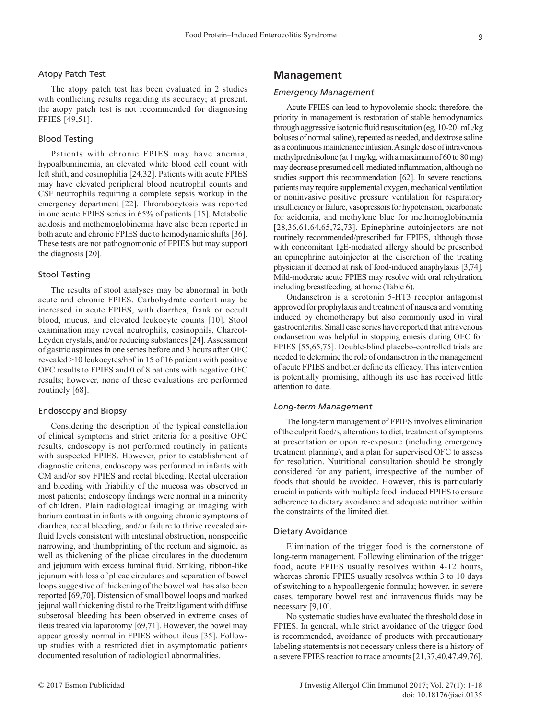#### Atopy Patch Test

The atopy patch test has been evaluated in 2 studies with conflicting results regarding its accuracy; at present, the atopy patch test is not recommended for diagnosing FPIES [49,51].

#### Blood Testing

Patients with chronic FPIES may have anemia, hypoalbuminemia, an elevated white blood cell count with left shift, and eosinophilia [24,32]. Patients with acute FPIES may have elevated peripheral blood neutrophil counts and CSF neutrophils requiring a complete sepsis workup in the emergency department [22]. Thrombocytosis was reported in one acute FPIES series in 65% of patients [15]. Metabolic acidosis and methemoglobinemia have also been reported in both acute and chronic FPIES due to hemodynamic shifts [36]. These tests are not pathognomonic of FPIES but may support the diagnosis [20].

#### Stool Testing

The results of stool analyses may be abnormal in both acute and chronic FPIES. Carbohydrate content may be increased in acute FPIES, with diarrhea, frank or occult blood, mucus, and elevated leukocyte counts [10]. Stool examination may reveal neutrophils, eosinophils, Charcot-Leyden crystals, and/or reducing substances [24]. Assessment of gastric aspirates in one series before and 3 hours after OFC revealed >10 leukocytes/hpf in 15 of 16 patients with positive OFC results to FPIES and 0 of 8 patients with negative OFC results; however, none of these evaluations are performed routinely [68].

#### Endoscopy and Biopsy

Considering the description of the typical constellation of clinical symptoms and strict criteria for a positive OFC results, endoscopy is not performed routinely in patients with suspected FPIES. However, prior to establishment of diagnostic criteria, endoscopy was performed in infants with CM and/or soy FPIES and rectal bleeding. Rectal ulceration and bleeding with friability of the mucosa was observed in most patients; endoscopy findings were normal in a minority of children. Plain radiological imaging or imaging with barium contrast in infants with ongoing chronic symptoms of diarrhea, rectal bleeding, and/or failure to thrive revealed airfluid levels consistent with intestinal obstruction, nonspecific narrowing, and thumbprinting of the rectum and sigmoid, as well as thickening of the plicae circulares in the duodenum and jejunum with excess luminal fluid. Striking, ribbon-like jejunum with loss of plicae circulares and separation of bowel loops suggestive of thickening of the bowel wall has also been reported [69,70]. Distension of small bowel loops and marked jejunal wall thickening distal to the Treitz ligament with diffuse subserosal bleeding has been observed in extreme cases of ileus treated via laparotomy [69,71]. However, the bowel may appear grossly normal in FPIES without ileus [35]. Followup studies with a restricted diet in asymptomatic patients documented resolution of radiological abnormalities.

#### **Management**

#### *Emergency Management*

Acute FPIES can lead to hypovolemic shock; therefore, the priority in management is restoration of stable hemodynamics through aggressive isotonic fluid resuscitation (eg, 10-20–mL/kg boluses of normal saline), repeated as needed, and dextrose saline as a continuous maintenance infusion. A single dose of intravenous methylprednisolone (at 1 mg/kg, with a maximum of 60 to 80 mg) may decrease presumed cell-mediated inflammation, although no studies support this recommendation [62]. In severe reactions, patients may require supplemental oxygen, mechanical ventilation or noninvasive positive pressure ventilation for respiratory insufficiency or failure, vasopressors for hypotension, bicarbonate for acidemia, and methylene blue for methemoglobinemia [28,36,61,64,65,72,73]. Epinephrine autoinjectors are not routinely recommended/prescribed for FPIES, although those with concomitant IgE-mediated allergy should be prescribed an epinephrine autoinjector at the discretion of the treating physician if deemed at risk of food-induced anaphylaxis [3,74]. Mild-moderate acute FPIES may resolve with oral rehydration, including breastfeeding, at home (Table 6).

Ondansetron is a serotonin 5-HT3 receptor antagonist approved for prophylaxis and treatment of nausea and vomiting induced by chemotherapy but also commonly used in viral gastroenteritis. Small case series have reported that intravenous ondansetron was helpful in stopping emesis during OFC for FPIES [55,65,75]. Double-blind placebo-controlled trials are needed to determine the role of ondansetron in the management of acute FPIES and better define its efficacy. This intervention is potentially promising, although its use has received little attention to date.

#### *Long-term Management*

The long-term management of FPIES involves elimination of the culprit food/s, alterations to diet, treatment of symptoms at presentation or upon re-exposure (including emergency treatment planning), and a plan for supervised OFC to assess for resolution. Nutritional consultation should be strongly considered for any patient, irrespective of the number of foods that should be avoided. However, this is particularly crucial in patients with multiple food–induced FPIES to ensure adherence to dietary avoidance and adequate nutrition within the constraints of the limited diet.

#### Dietary Avoidance

Elimination of the trigger food is the cornerstone of long-term management. Following elimination of the trigger food, acute FPIES usually resolves within 4-12 hours, whereas chronic FPIES usually resolves within 3 to 10 days of switching to a hypoallergenic formula; however, in severe cases, temporary bowel rest and intravenous fluids may be necessary [9,10].

No systematic studies have evaluated the threshold dose in FPIES. In general, while strict avoidance of the trigger food is recommended, avoidance of products with precautionary labeling statements is not necessary unless there is a history of a severe FPIES reaction to trace amounts [21,37,40,47,49,76].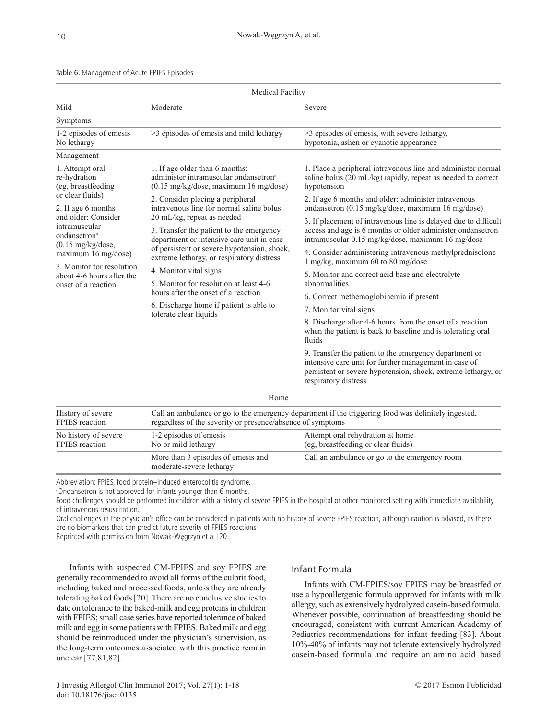|                                                                                                                                                                                                         | Medical Facility                                                                                                                                                                                                                                                                                                                                                                                |                                                                                                                                                                                                                                                                                                                                                                                                                                                                                                                                                                                                                                                                                                                                                                                 |
|---------------------------------------------------------------------------------------------------------------------------------------------------------------------------------------------------------|-------------------------------------------------------------------------------------------------------------------------------------------------------------------------------------------------------------------------------------------------------------------------------------------------------------------------------------------------------------------------------------------------|---------------------------------------------------------------------------------------------------------------------------------------------------------------------------------------------------------------------------------------------------------------------------------------------------------------------------------------------------------------------------------------------------------------------------------------------------------------------------------------------------------------------------------------------------------------------------------------------------------------------------------------------------------------------------------------------------------------------------------------------------------------------------------|
| Mild                                                                                                                                                                                                    | Moderate                                                                                                                                                                                                                                                                                                                                                                                        | Severe                                                                                                                                                                                                                                                                                                                                                                                                                                                                                                                                                                                                                                                                                                                                                                          |
| Symptoms                                                                                                                                                                                                |                                                                                                                                                                                                                                                                                                                                                                                                 |                                                                                                                                                                                                                                                                                                                                                                                                                                                                                                                                                                                                                                                                                                                                                                                 |
| 1-2 episodes of emesis<br>No lethargy                                                                                                                                                                   | >3 episodes of emesis and mild lethargy                                                                                                                                                                                                                                                                                                                                                         | >3 episodes of emesis, with severe lethargy,<br>hypotonia, ashen or cyanotic appearance                                                                                                                                                                                                                                                                                                                                                                                                                                                                                                                                                                                                                                                                                         |
| Management                                                                                                                                                                                              |                                                                                                                                                                                                                                                                                                                                                                                                 |                                                                                                                                                                                                                                                                                                                                                                                                                                                                                                                                                                                                                                                                                                                                                                                 |
| 1. Attempt oral<br>re-hydration<br>(eg, breastfeeding                                                                                                                                                   | 1. If age older than 6 months:<br>administer intramuscular ondansetron <sup>a</sup><br>$(0.15 \text{ mg/kg/dose}, \text{maximum } 16 \text{ mg/dose})$                                                                                                                                                                                                                                          | 1. Place a peripheral intravenous line and administer normal<br>saline bolus (20 mL/kg) rapidly, repeat as needed to correct<br>hypotension                                                                                                                                                                                                                                                                                                                                                                                                                                                                                                                                                                                                                                     |
| or clear fluids)<br>2. If age 6 months                                                                                                                                                                  | 2. Consider placing a peripheral<br>intravenous line for normal saline bolus                                                                                                                                                                                                                                                                                                                    | 2. If age 6 months and older: administer intravenous<br>ondansetron (0.15 mg/kg/dose, maximum 16 mg/dose)                                                                                                                                                                                                                                                                                                                                                                                                                                                                                                                                                                                                                                                                       |
| and older: Consider<br>intramuscular<br>ondansetron <sup>a</sup><br>$(0.15 \text{ mg/kg/dose})$<br>maximum 16 mg/dose)<br>3. Monitor for resolution<br>about 4-6 hours after the<br>onset of a reaction | 20 mL/kg, repeat as needed<br>3. Transfer the patient to the emergency<br>department or intensive care unit in case<br>of persistent or severe hypotension, shock,<br>extreme lethargy, or respiratory distress<br>4. Monitor vital signs<br>5. Monitor for resolution at least 4-6<br>hours after the onset of a reaction<br>6. Discharge home if patient is able to<br>tolerate clear liquids | 3. If placement of intravenous line is delayed due to difficult<br>access and age is 6 months or older administer ondansetron<br>intramuscular 0.15 mg/kg/dose, maximum 16 mg/dose<br>4. Consider administering intravenous methylprednisolone<br>1 mg/kg, maximum 60 to 80 mg/dose<br>5. Monitor and correct acid base and electrolyte<br>abnormalities<br>6. Correct methemoglobinemia if present<br>7. Monitor vital signs<br>8. Discharge after 4-6 hours from the onset of a reaction<br>when the patient is back to baseline and is tolerating oral<br>fluids<br>9. Transfer the patient to the emergency department or<br>intensive care unit for further management in case of<br>persistent or severe hypotension, shock, extreme lethargy, or<br>respiratory distress |

Table 6. Management of Acute FPIES Episodes

| Home                                          |                                                                |                                                                                                     |  |  |  |
|-----------------------------------------------|----------------------------------------------------------------|-----------------------------------------------------------------------------------------------------|--|--|--|
| History of severe<br>FPIES reaction           | regardless of the severity or presence/absence of symptoms     | Call an ambulance or go to the emergency department if the triggering food was definitely ingested, |  |  |  |
| No history of severe<br><b>FPIES</b> reaction | 1-2 episodes of emesis<br>No or mild lethargy                  | Attempt oral rehydration at home<br>(eg, breastfeeding or clear fluids)                             |  |  |  |
|                                               | More than 3 episodes of emesis and<br>moderate-severe lethargy | Call an ambulance or go to the emergency room                                                       |  |  |  |

Abbreviation: FPIES, food protein–induced enterocolitis syndrome.

a Ondansetron is not approved for infants younger than 6 months.

Food challenges should be performed in children with a history of severe FPIES in the hospital or other monitored setting with immediate availability of intravenous resuscitation.

Oral challenges in the physician's office can be considered in patients with no history of severe FPIES reaction, although caution is advised, as there are no biomarkers that can predict future severity of FPIES reactions

Reprinted with permission from Nowak-Węgrzyn et al [20].

Infants with suspected CM-FPIES and soy FPIES are generally recommended to avoid all forms of the culprit food, including baked and processed foods, unless they are already tolerating baked foods [20]. There are no conclusive studies to date on tolerance to the baked-milk and egg proteins in children with FPIES; small case series have reported tolerance of baked milk and egg in some patients with FPIES. Baked milk and egg should be reintroduced under the physician's supervision, as the long-term outcomes associated with this practice remain unclear [77,81,82].

#### Infant Formula

Infants with CM-FPIES/soy FPIES may be breastfed or use a hypoallergenic formula approved for infants with milk allergy, such as extensively hydrolyzed casein-based formula. Whenever possible, continuation of breastfeeding should be encouraged, consistent with current American Academy of Pediatrics recommendations for infant feeding [83]. About 10%-40% of infants may not tolerate extensively hydrolyzed casein-based formula and require an amino acid–based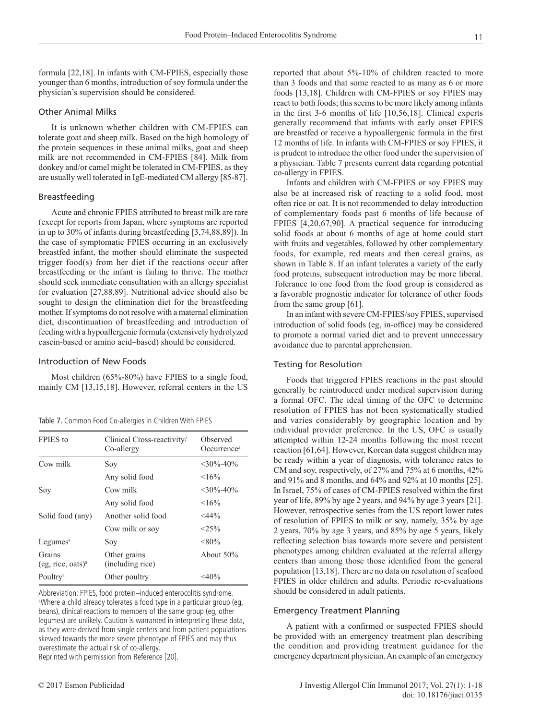formula [22,18]. In infants with CM-FPIES, especially those younger than 6 months, introduction of soy formula under the physician's supervision should be considered.

#### Other Animal Milks

It is unknown whether children with CM-FPIES can tolerate goat and sheep milk. Based on the high homology of the protein sequences in these animal milks, goat and sheep milk are not recommended in CM-FPIES [84]. Milk from donkey and/or camel might be tolerated in CM-FPIES, as they are usually well tolerated in IgE-mediated CM allergy [85-87].

#### Breastfeeding

Acute and chronic FPIES attributed to breast milk are rare (except for reports from Japan, where symptoms are reported in up to 30% of infants during breastfeeding [3,74,88,89]). In the case of symptomatic FPIES occurring in an exclusively breastfed infant, the mother should eliminate the suspected trigger food(s) from her diet if the reactions occur after breastfeeding or the infant is failing to thrive. The mother should seek immediate consultation with an allergy specialist for evaluation [27,88,89]. Nutritional advice should also be sought to design the elimination diet for the breastfeeding mother. If symptoms do not resolve with a maternal elimination diet, discontinuation of breastfeeding and introduction of feeding with a hypoallergenic formula (extensively hydrolyzed casein-based or amino acid–based) should be considered.

#### Introduction of New Foods

Most children (65%-80%) have FPIES to a single food, mainly CM [13,15,18]. However, referral centers in the US

|  |  |  | Table 7. Common Food Co-allergies in Children With FPIES |  |  |  |  |
|--|--|--|----------------------------------------------------------|--|--|--|--|
|--|--|--|----------------------------------------------------------|--|--|--|--|

| <b>FPIES</b> to                         | Clinical Cross-reactivity/<br>Co-allergy | Observed<br>Occurrence <sup>a</sup> |
|-----------------------------------------|------------------------------------------|-------------------------------------|
| Cow milk                                | Soy                                      | $<$ 30%-40%                         |
|                                         | Any solid food                           | <16%                                |
| Soy                                     | Cow milk                                 | $<$ 30%-40%                         |
|                                         | Any solid food                           | $16\%$                              |
| Solid food (any)                        | Another solid food                       | $<$ 44%                             |
|                                         | Cow milk or soy                          | $< 25\%$                            |
| Legumes <sup>a</sup>                    | Soy                                      | $< 80\%$                            |
| Grains<br>(eg, rice, oats) <sup>a</sup> | Other grains<br>(including rice)         | About $50\%$                        |
| Poultry <sup>a</sup>                    | Other poultry                            | $<$ 40%                             |

Abbreviation: FPIES, food protein–induced enterocolitis syndrome. a Where a child already tolerates a food type in a particular group (eg, beans), clinical reactions to members of the same group (eg, other legumes) are unlikely. Caution is warranted in interpreting these data, as they were derived from single centers and from patient populations skewed towards the more severe phenotype of FPIES and may thus overestimate the actual risk of co-allergy. Reprinted with permission from Reference [20].

reported that about 5%-10% of children reacted to more than 3 foods and that some reacted to as many as 6 or more foods [13,18]. Children with CM-FPIES or soy FPIES may react to both foods; this seems to be more likely among infants in the first 3-6 months of life [10,56,18]. Clinical experts generally recommend that infants with early onset FPIES are breastfed or receive a hypoallergenic formula in the first 12 months of life. In infants with CM-FPIES or soy FPIES, it is prudent to introduce the other food under the supervision of a physician. Table 7 presents current data regarding potential co-allergy in FPIES.

Infants and children with CM-FPIES or soy FPIES may also be at increased risk of reacting to a solid food, most often rice or oat. It is not recommended to delay introduction of complementary foods past 6 months of life because of FPIES [4,20,67,90]. A practical sequence for introducing solid foods at about 6 months of age at home could start with fruits and vegetables, followed by other complementary foods, for example, red meats and then cereal grains, as shown in Table 8. If an infant tolerates a variety of the early food proteins, subsequent introduction may be more liberal. Tolerance to one food from the food group is considered as a favorable prognostic indicator for tolerance of other foods from the same group [61].

In an infant with severe CM-FPIES/soy FPIES, supervised introduction of solid foods (eg, in-office) may be considered to promote a normal varied diet and to prevent unnecessary avoidance due to parental apprehension.

#### Testing for Resolution

Foods that triggered FPIES reactions in the past should generally be reintroduced under medical supervision during a formal OFC. The ideal timing of the OFC to determine resolution of FPIES has not been systematically studied and varies considerably by geographic location and by individual provider preference. In the US, OFC is usually attempted within 12-24 months following the most recent reaction [61,64]. However, Korean data suggest children may be ready within a year of diagnosis, with tolerance rates to CM and soy, respectively, of 27% and 75% at 6 months, 42% and 91% and 8 months, and 64% and 92% at 10 months [25]. In Israel, 75% of cases of CM-FPIES resolved within the first year of life, 89% by age 2 years, and 94% by age 3 years [21]. However, retrospective series from the US report lower rates of resolution of FPIES to milk or soy, namely, 35% by age 2 years, 70% by age 3 years, and 85% by age 5 years, likely reflecting selection bias towards more severe and persistent phenotypes among children evaluated at the referral allergy centers than among those those identified from the general population [13,18]. There are no data on resolution of seafood FPIES in older children and adults. Periodic re-evaluations should be considered in adult patients.

#### Emergency Treatment Planning

A patient with a confirmed or suspected FPIES should be provided with an emergency treatment plan describing the condition and providing treatment guidance for the emergency department physician. An example of an emergency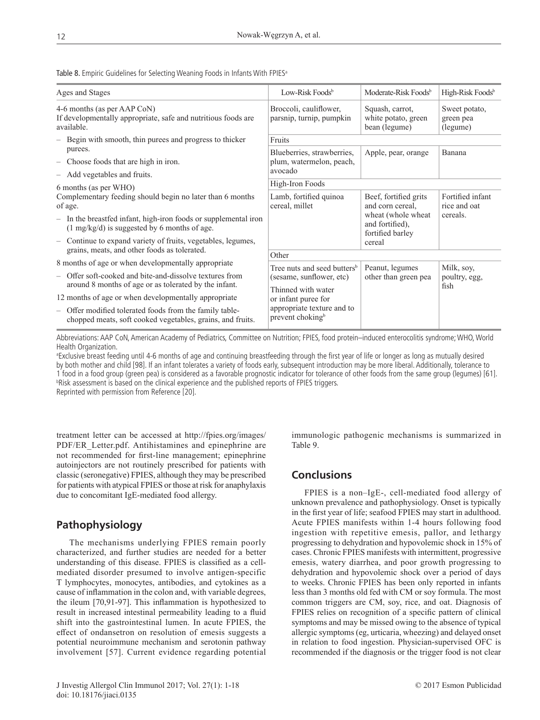| J Investig Allergol Clin Immunol 2017; Vol. 27(1): 1-1% |
|---------------------------------------------------------|
| doi: 10.18176/jiaci.0135                                |

Table 8. Empiric Guidelines for Selecting Weaning Foods in Infants With FPIES<sup>a</sup>

| Ages and Stages                                                                                                             | Low-Risk Foods <sup>b</sup>                                                               | Moderate-Risk Foods <sup>b</sup>                           | High-Risk Foodsb                       |
|-----------------------------------------------------------------------------------------------------------------------------|-------------------------------------------------------------------------------------------|------------------------------------------------------------|----------------------------------------|
| 4-6 months (as per AAP CoN)<br>If developmentally appropriate, safe and nutritious foods are<br>available.                  | Broccoli, cauliflower,<br>parsnip, turnip, pumpkin                                        | Squash, carrot,<br>white potato, green<br>bean (legume)    | Sweet potato,<br>green pea<br>(legume) |
| Begin with smooth, thin purees and progress to thicker<br>$\overline{\phantom{m}}$                                          | Fruits                                                                                    |                                                            |                                        |
| purees.<br>$-$ Choose foods that are high in iron.<br>$-$ Add vegetables and fruits.                                        | Blueberries, strawberries,<br>plum, watermelon, peach,<br>avocado                         | Apple, pear, orange                                        | Banana                                 |
| 6 months (as per WHO)                                                                                                       | High-Iron Foods                                                                           |                                                            |                                        |
| Complementary feeding should begin no later than 6 months<br>of age.                                                        | Lamb, fortified quinoa<br>cereal, millet                                                  | Beef, fortified grits<br>and corn cereal,                  | Fortified infant<br>rice and oat       |
| $-$ In the breastfed infant, high-iron foods or supplemental iron<br>$(1 \text{ mg/kg/d})$ is suggested by 6 months of age. |                                                                                           | wheat (whole wheat)<br>and fortified),<br>fortified barley | cereals.                               |
| Continue to expand variety of fruits, vegetables, legumes,<br>grains, meats, and other foods as tolerated.                  |                                                                                           | cereal                                                     |                                        |
| 8 months of age or when developmentally appropriate                                                                         | Other                                                                                     |                                                            |                                        |
| Offer soft-cooked and bite-and-dissolve textures from<br>around 8 months of age or as tolerated by the infant.              | Tree nuts and seed butters <sup>b</sup><br>(sesame, sunflower, etc)<br>Thinned with water | Peanut, legumes<br>other than green pea                    | Milk, soy,<br>poultry, egg,<br>fish    |
| 12 months of age or when developmentally appropriate                                                                        | or infant puree for                                                                       |                                                            |                                        |
| - Offer modified tolerated foods from the family table-<br>chopped meats, soft cooked vegetables, grains, and fruits.       | appropriate texture and to<br>prevent choking <sup>b</sup>                                |                                                            |                                        |

Abbreviations: AAP CoN, American Academy of Pediatrics, Committee on Nutrition; FPIES, food protein–induced enterocolitis syndrome; WHO, World Health Organization.

a Exclusive breast feeding until 4-6 months of age and continuing breastfeeding through the first year of life or longer as long as mutually desired by both mother and child [98]. If an infant tolerates a variety of foods early, subsequent introduction may be more liberal. Additionally, tolerance to 1 food in a food group (green pea) is considered as a favorable prognostic indicator for tolerance of other foods from the same group (legumes) [61]. b Risk assessment is based on the clinical experience and the published reports of FPIES triggers.

Reprinted with permission from Reference [20].

treatment letter can be accessed at http://fpies.org/images/ PDF/ER\_Letter.pdf. Antihistamines and epinephrine are not recommended for first-line management; epinephrine autoinjectors are not routinely prescribed for patients with classic (seronegative) FPIES, although they may be prescribed for patients with atypical FPIES or those at risk for anaphylaxis due to concomitant IgE-mediated food allergy.

### **Pathophysiology**

The mechanisms underlying FPIES remain poorly characterized, and further studies are needed for a better understanding of this disease. FPIES is classified as a cellmediated disorder presumed to involve antigen-specific T lymphocytes, monocytes, antibodies, and cytokines as a cause of inflammation in the colon and, with variable degrees, the ileum [70,91-97]. This inflammation is hypothesized to result in increased intestinal permeability leading to a fluid shift into the gastrointestinal lumen. In acute FPIES, the effect of ondansetron on resolution of emesis suggests a potential neuroimmune mechanism and serotonin pathway involvement [57]. Current evidence regarding potential immunologic pathogenic mechanisms is summarized in Table 9.

### **Conclusions**

FPIES is a non–IgE-, cell-mediated food allergy of unknown prevalence and pathophysiology. Onset is typically in the first year of life; seafood FPIES may start in adulthood. Acute FPIES manifests within 1-4 hours following food ingestion with repetitive emesis, pallor, and lethargy progressing to dehydration and hypovolemic shock in 15% of cases. Chronic FPIES manifests with intermittent, progressive emesis, watery diarrhea, and poor growth progressing to dehydration and hypovolemic shock over a period of days to weeks. Chronic FPIES has been only reported in infants less than 3 months old fed with CM or soy formula. The most common triggers are CM, soy, rice, and oat. Diagnosis of FPIES relies on recognition of a specific pattern of clinical symptoms and may be missed owing to the absence of typical allergic symptoms (eg, urticaria, wheezing) and delayed onset in relation to food ingestion. Physician-supervised OFC is recommended if the diagnosis or the trigger food is not clear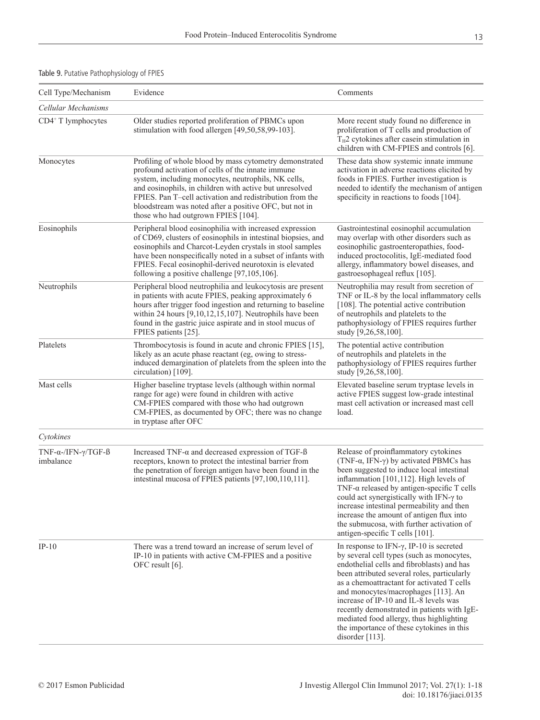#### Table 9. Putative Pathophysiology of FPIES

| Cell Type/Mechanism                               | Evidence                                                                                                                                                                                                                                                                                                                                                                                    | Comments                                                                                                                                                                                                                                                                                                                                                                                                                                                                            |
|---------------------------------------------------|---------------------------------------------------------------------------------------------------------------------------------------------------------------------------------------------------------------------------------------------------------------------------------------------------------------------------------------------------------------------------------------------|-------------------------------------------------------------------------------------------------------------------------------------------------------------------------------------------------------------------------------------------------------------------------------------------------------------------------------------------------------------------------------------------------------------------------------------------------------------------------------------|
| Cellular Mechanisms                               |                                                                                                                                                                                                                                                                                                                                                                                             |                                                                                                                                                                                                                                                                                                                                                                                                                                                                                     |
| CD4+ T lymphocytes                                | Older studies reported proliferation of PBMCs upon<br>stimulation with food allergen [49,50,58,99-103].                                                                                                                                                                                                                                                                                     | More recent study found no difference in<br>proliferation of T cells and production of<br>$T_H2$ cytokines after casein stimulation in<br>children with CM-FPIES and controls [6].                                                                                                                                                                                                                                                                                                  |
| Monocytes                                         | Profiling of whole blood by mass cytometry demonstrated<br>profound activation of cells of the innate immune<br>system, including monocytes, neutrophils, NK cells,<br>and eosinophils, in children with active but unresolved<br>FPIES. Pan T-cell activation and redistribution from the<br>bloodstream was noted after a positive OFC, but not in<br>those who had outgrown FPIES [104]. | These data show systemic innate immune<br>activation in adverse reactions elicited by<br>foods in FPIES. Further investigation is<br>needed to identify the mechanism of antigen<br>specificity in reactions to foods [104].                                                                                                                                                                                                                                                        |
| Eosinophils                                       | Peripheral blood eosinophilia with increased expression<br>of CD69, clusters of eosinophils in intestinal biopsies, and<br>eosinophils and Charcot-Leyden crystals in stool samples<br>have been nonspecifically noted in a subset of infants with<br>FPIES. Fecal eosinophil-derived neurotoxin is elevated<br>following a positive challenge [97,105,106].                                | Gastrointestinal eosinophil accumulation<br>may overlap with other disorders such as<br>eosinophilic gastroenteropathies, food-<br>induced proctocolitis, IgE-mediated food<br>allergy, inflammatory bowel diseases, and<br>gastroesophageal reflux [105].                                                                                                                                                                                                                          |
| Neutrophils                                       | Peripheral blood neutrophilia and leukocytosis are present<br>in patients with acute FPIES, peaking approximately 6<br>hours after trigger food ingestion and returning to baseline<br>within 24 hours $[9,10,12,15,107]$ . Neutrophils have been<br>found in the gastric juice aspirate and in stool mucus of<br>FPIES patients [25].                                                      | Neutrophilia may result from secretion of<br>TNF or IL-8 by the local inflammatory cells<br>[108]. The potential active contribution<br>of neutrophils and platelets to the<br>pathophysiology of FPIES requires further<br>study [9,26,58,100].                                                                                                                                                                                                                                    |
| Platelets                                         | Thrombocytosis is found in acute and chronic FPIES [15],<br>likely as an acute phase reactant (eg, owing to stress-<br>induced demargination of platelets from the spleen into the<br>circulation) [109].                                                                                                                                                                                   | The potential active contribution<br>of neutrophils and platelets in the<br>pathophysiology of FPIES requires further<br>study [9,26,58,100].                                                                                                                                                                                                                                                                                                                                       |
| Mast cells                                        | Higher baseline tryptase levels (although within normal<br>range for age) were found in children with active<br>CM-FPIES compared with those who had outgrown<br>CM-FPIES, as documented by OFC; there was no change<br>in tryptase after OFC                                                                                                                                               | Elevated baseline serum tryptase levels in<br>active FPIES suggest low-grade intestinal<br>mast cell activation or increased mast cell<br>load.                                                                                                                                                                                                                                                                                                                                     |
| Cytokines                                         |                                                                                                                                                                                                                                                                                                                                                                                             |                                                                                                                                                                                                                                                                                                                                                                                                                                                                                     |
| TNF- $\alpha$ -/IFN- $\gamma$ /TGF-ß<br>imbalance | Increased TNF- $\alpha$ and decreased expression of TGF- $\beta$<br>receptors, known to protect the intestinal barrier from<br>the penetration of foreign antigen have been found in the<br>intestinal mucosa of FPIES patients [97,100,110,111].                                                                                                                                           | Release of proinflammatory cytokines<br>(TNF- $\alpha$ , IFN- $\gamma$ ) by activated PBMCs has<br>been suggested to induce local intestinal<br>inflammation [101,112]. High levels of<br>TNF- $\alpha$ released by antigen-specific T cells<br>could act synergistically with IFN- $\gamma$ to<br>increase intestinal permeability and then<br>increase the amount of antigen flux into<br>the submucosa, with further activation of<br>antigen-specific T cells [101].            |
| $IP-10$                                           | There was a trend toward an increase of serum level of<br>IP-10 in patients with active CM-FPIES and a positive<br>OFC result [6].                                                                                                                                                                                                                                                          | In response to IFN- $\gamma$ , IP-10 is secreted<br>by several cell types (such as monocytes,<br>endothelial cells and fibroblasts) and has<br>been attributed several roles, particularly<br>as a chemoattractant for activated T cells<br>and monocytes/macrophages [113]. An<br>increase of IP-10 and IL-8 levels was<br>recently demonstrated in patients with IgE-<br>mediated food allergy, thus highlighting<br>the importance of these cytokines in this<br>disorder [113]. |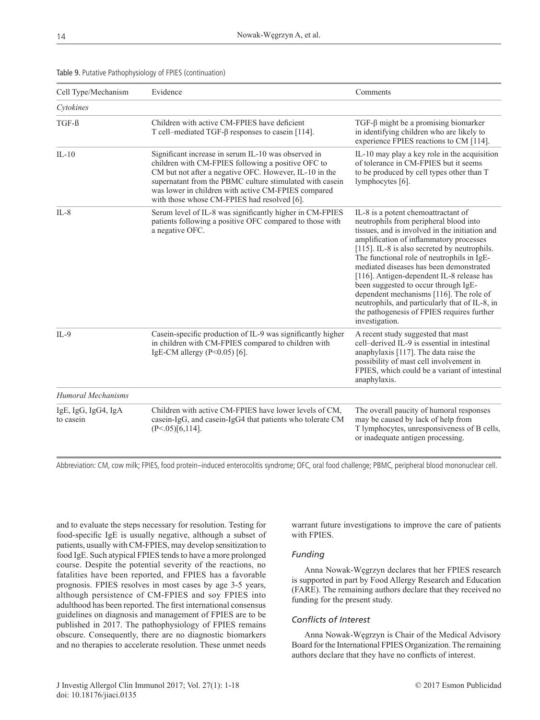| Cell Type/Mechanism                         | Evidence                                                                                                                                                                                                                                                                                                                              | Comments                                                                                                                                                                                                                                                                                                                                                                                                                                                                                                                                                              |
|---------------------------------------------|---------------------------------------------------------------------------------------------------------------------------------------------------------------------------------------------------------------------------------------------------------------------------------------------------------------------------------------|-----------------------------------------------------------------------------------------------------------------------------------------------------------------------------------------------------------------------------------------------------------------------------------------------------------------------------------------------------------------------------------------------------------------------------------------------------------------------------------------------------------------------------------------------------------------------|
| Cytokines                                   |                                                                                                                                                                                                                                                                                                                                       |                                                                                                                                                                                                                                                                                                                                                                                                                                                                                                                                                                       |
| TGF-ß                                       | Children with active CM-FPIES have deficient<br>T cell–mediated TGF- $\beta$ responses to case in [114].                                                                                                                                                                                                                              | $TGF-\beta might be a promising biomarker$<br>in identifying children who are likely to<br>experience FPIES reactions to CM [114].                                                                                                                                                                                                                                                                                                                                                                                                                                    |
| $IL-10$                                     | Significant increase in serum IL-10 was observed in<br>children with CM-FPIES following a positive OFC to<br>CM but not after a negative OFC. However, IL-10 in the<br>supernatant from the PBMC culture stimulated with casein<br>was lower in children with active CM-FPIES compared<br>with those whose CM-FPIES had resolved [6]. | IL-10 may play a key role in the acquisition<br>of tolerance in CM-FPIES but it seems<br>to be produced by cell types other than T<br>lymphocytes [6].                                                                                                                                                                                                                                                                                                                                                                                                                |
| $IL-8$                                      | Serum level of IL-8 was significantly higher in CM-FPIES<br>patients following a positive OFC compared to those with<br>a negative OFC.                                                                                                                                                                                               | IL-8 is a potent chemoattractant of<br>neutrophils from peripheral blood into<br>tissues, and is involved in the initiation and<br>amplification of inflammatory processes<br>[115]. IL-8 is also secreted by neutrophils.<br>The functional role of neutrophils in IgE-<br>mediated diseases has been demonstrated<br>[116]. Antigen-dependent IL-8 release has<br>been suggested to occur through IgE-<br>dependent mechanisms [116]. The role of<br>neutrophils, and particularly that of IL-8, in<br>the pathogenesis of FPIES requires further<br>investigation. |
| $IL-9$                                      | Case in-specific production of IL-9 was significantly higher<br>in children with CM-FPIES compared to children with<br>IgE-CM allergy ( $P<0.05$ ) [6].                                                                                                                                                                               | A recent study suggested that mast<br>cell-derived IL-9 is essential in intestinal<br>anaphylaxis [117]. The data raise the<br>possibility of mast cell involvement in<br>FPIES, which could be a variant of intestinal<br>anaphylaxis.                                                                                                                                                                                                                                                                                                                               |
| <b>Humoral Mechanisms</b>                   |                                                                                                                                                                                                                                                                                                                                       |                                                                                                                                                                                                                                                                                                                                                                                                                                                                                                                                                                       |
| $IgE$ , $IgG$ , $IgG4$ , $IgA$<br>to casein | Children with active CM-FPIES have lower levels of CM,<br>casein-IgG, and casein-IgG4 that patients who tolerate CM<br>$(P<.05)$ [6,114].                                                                                                                                                                                             | The overall paucity of humoral responses<br>may be caused by lack of help from<br>T lymphocytes, unresponsiveness of B cells,<br>or inadequate antigen processing.                                                                                                                                                                                                                                                                                                                                                                                                    |

Table 9. Putative Pathophysiology of FPIES (continuation)

Abbreviation: CM, cow milk; FPIES, food protein–induced enterocolitis syndrome; OFC, oral food challenge; PBMC, peripheral blood mononuclear cell.

and to evaluate the steps necessary for resolution. Testing for food-specific IgE is usually negative, although a subset of patients, usually with CM-FPIES, may develop sensitization to food IgE. Such atypical FPIES tends to have a more prolonged course. Despite the potential severity of the reactions, no fatalities have been reported, and FPIES has a favorable prognosis. FPIES resolves in most cases by age 3-5 years, although persistence of CM-FPIES and soy FPIES into adulthood has been reported. The first international consensus guidelines on diagnosis and management of FPIES are to be published in 2017. The pathophysiology of FPIES remains obscure. Consequently, there are no diagnostic biomarkers and no therapies to accelerate resolution. These unmet needs

warrant future investigations to improve the care of patients with FPIES.

#### *Funding*

Anna Nowak-Węgrzyn declares that her FPIES research is supported in part by Food Allergy Research and Education (FARE). The remaining authors declare that they received no funding for the present study.

#### *Conflicts of Interest*

Anna Nowak-Węgrzyn is Chair of the Medical Advisory Board for the International FPIES Organization. The remaining authors declare that they have no conflicts of interest.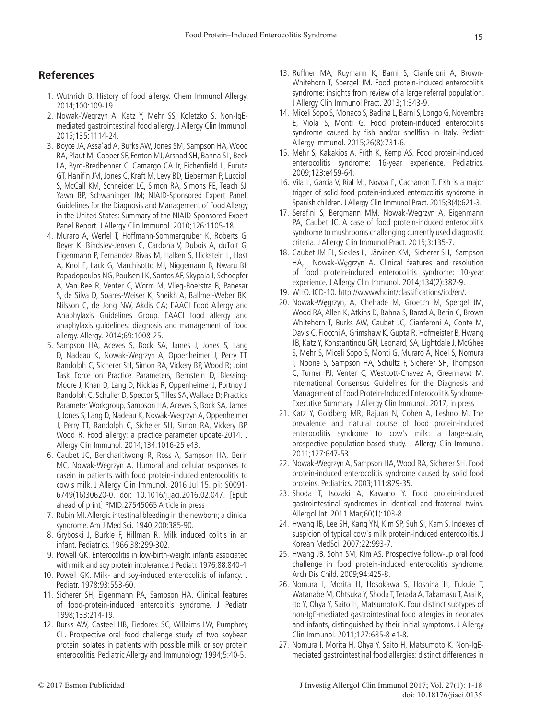### **References**

- 1. Wuthrich B. History of food allergy. Chem Immunol Allergy. 2014;100:109-19.
- 2. Nowak-Wegrzyn A, Katz Y, Mehr SS, Koletzko S. Non-IgEmediated gastrointestinal food allergy. J Allergy Clin Immunol. 2015;135:1114-24.
- 3. Boyce JA, Assa'ad A, Burks AW, Jones SM, Sampson HA, Wood RA, Plaut M, Cooper SF, Fenton MJ, Arshad SH, Bahna SL, Beck LA, Byrd-Bredbenner C, Camargo CA Jr, Eichenfield L, Furuta GT, Hanifin JM, Jones C, Kraft M, Levy BD, Lieberman P, Luccioli S, McCall KM, Schneider LC, Simon RA, Simons FE, Teach SJ, Yawn BP, Schwaninger JM; NIAID-Sponsored Expert Panel. Guidelines for the Diagnosis and Management of Food Allergy in the United States: Summary of the NIAID-Sponsored Expert Panel Report. J Allergy Clin Immunol. 2010;126:1105-18.
- 4. Muraro A, Werfel T, Hoffmann-Sommergruber K, Roberts G, Beyer K, Bindslev-Jensen C, Cardona V, Dubois A, duToit G, Eigenmann P, Fernandez Rivas M, Halken S, Hickstein L, Høst A, Knol E, Lack G, Marchisotto MJ, Niggemann B, Nwaru BI, Papadopoulos NG, Poulsen LK, Santos AF, Skypala I, Schoepfer A, Van Ree R, Venter C, Worm M, Vlieg-Boerstra B, Panesar S, de Silva D, Soares-Weiser K, Sheikh A, Ballmer-Weber BK, Nilsson C, de Jong NW, Akdis CA; EAACI Food Allergy and Anaphylaxis Guidelines Group. EAACI food allergy and anaphylaxis guidelines: diagnosis and management of food allergy. Allergy. 2014;69:1008-25.
- 5. Sampson HA, Aceves S, Bock SA, James J, Jones S, Lang D, Nadeau K, Nowak-Wegrzyn A, Oppenheimer J, Perry TT, Randolph C, Sicherer SH, Simon RA, Vickery BP, Wood R; Joint Task Force on Practice Parameters, Bernstein D, Blessing-Moore J, Khan D, Lang D, Nicklas R, Oppenheimer J, Portnoy J, Randolph C, Schuller D, Spector S, Tilles SA, Wallace D; Practice Parameter Workgroup, Sampson HA, Aceves S, Bock SA, James J, Jones S, Lang D, Nadeau K, Nowak-Wegrzyn A, Oppenheimer J, Perry TT, Randolph C, Sicherer SH, Simon RA, Vickery BP, Wood R. Food allergy: a practice parameter update-2014. J Allergy Clin Immunol. 2014;134:1016-25 e43.
- 6. Caubet JC, Bencharitiwong R, Ross A, Sampson HA, Berin MC, Nowak-Wegrzyn A. Humoral and cellular responses to casein in patients with food protein-induced enterocolitis to cow's milk. J Allergy Clin Immunol. 2016 Jul 15. pii: S0091- 6749(16)30620-0. doi: 10.1016/j.jaci.2016.02.047. [Epub ahead of print] PMID:27545065 Article in press
- 7. Rubin MI. Allergic intestinal bleeding in the newborn; a clinical syndrome. Am J Med Sci. 1940;200:385-90.
- 8. Gryboski J, Burkle F, Hillman R. Milk induced colitis in an infant. Pediatrics. 1966;38:299-302.
- 9. Powell GK. Enterocolitis in low-birth-weight infants associated with milk and soy protein intolerance. J Pediatr. 1976;88:840-4.
- 10. Powell GK. Milk- and soy-induced enterocolitis of infancy. J Pediatr. 1978;93:553-60.
- 11. Sicherer SH, Eigenmann PA, Sampson HA. Clinical features of food-protein-induced entercolitis syndrome. J Pediatr. 1998;133:214-19.
- 12. Burks AW, Casteel HB, Fiedorek SC, Willaims LW, Pumphrey CL. Prospective oral food challenge study of two soybean protein isolates in patients with possible milk or soy protein enterocolitis. Pediatric Allergy and Immunology 1994;5:40-5.
- 13. Ruffner MA, Ruymann K, Barni S, Cianferoni A, Brown-Whitehorn T, Spergel JM. Food protein-induced enterocolitis syndrome: insights from review of a large referral population. J Allergy Clin Immunol Pract. 2013;1:343-9.
- 14. Miceli Sopo S, Monaco S, Badina L, Barni S, Longo G, Novembre E, Viola S, Monti G. Food protein-induced enterocolitis syndrome caused by fish and/or shellfish in Italy. Pediatr Allergy Immunol. 2015;26(8):731-6.
- 15. Mehr S, Kakakios A, Frith K, Kemp AS. Food protein-induced enterocolitis syndrome: 16-year experience. Pediatrics. 2009;123:e459-64.
- 16. Vila L, Garcia V, Rial MJ, Novoa E, Cacharron T. Fish is a major trigger of solid food protein-induced enterocolitis syndrome in Spanish children. J Allergy Clin Immunol Pract. 2015;3(4):621-3.
- 17. Serafini S, Bergmann MM, Nowak-Wegrzyn A, Eigenmann PA, Caubet JC. A case of food protein-induced enterocolitis syndrome to mushrooms challenging currently used diagnostic criteria. J Allergy Clin Immunol Pract. 2015;3:135-7.
- 18. Caubet JM FL, Sickles L, Järvinen KM, Sicherer SH, Sampson HA, Nowak-Węgrzyn A. Clinical features and resolution of food protein-induced enterocolitis syndrome: 10-year experience. J Allergy Clin Immunol. 2014;134(2):382-9.
- 19. WHO. ICD-10. http://wwwwhoint/classifications/icd/en/.
- 20. Nowak-Węgrzyn, A, Chehade M, Groetch M, Spergel JM, Wood RA, Allen K, Atkins D, Bahna S, Barad A, Berin C, Brown Whitehorn T, Burks AW, Caubet JC, Cianferoni A, Conte M, Davis C, Fiocchi A, Grimshaw K, Gupta R, Hofmeister B, Hwang JB, Katz Y, Konstantinou GN, Leonard, SA, Lightdale J, McGhee S, Mehr S, Miceli Sopo S, Monti G, Muraro A, Noel S, Nomura I, Noone S, Sampson HA, Schultz F, Sicherer SH, Thompson C, Turner PJ, Venter C, Westcott-Chavez A, Greenhawt M. International Consensus Guidelines for the Diagnosis and Management of Food Protein-Induced Enterocolitis Syndrome-Executive Summary J Allergy Clin Immunol. 2017, in press
- 21. Katz Y, Goldberg MR, Rajuan N, Cohen A, Leshno M. The prevalence and natural course of food protein-induced enterocolitis syndrome to cow's milk: a large-scale, prospective population-based study. J Allergy Clin Immunol. 2011;127:647-53.
- 22. Nowak-Wegrzyn A, Sampson HA, Wood RA, Sicherer SH. Food protein-induced enterocolitis syndrome caused by solid food proteins. Pediatrics. 2003;111:829-35.
- 23. Shoda T, Isozaki A, Kawano Y. Food protein-induced gastrointestinal syndromes in identical and fraternal twins. Allergol Int. 2011 Mar;60(1):103-8.
- 24. Hwang JB, Lee SH, Kang YN, Kim SP, Suh SI, Kam S. Indexes of suspicion of typical cow's milk protein-induced enterocolitis. J Korean MedSci. 2007;22:993-7.
- 25. Hwang JB, Sohn SM, Kim AS. Prospective follow-up oral food challenge in food protein-induced enterocolitis syndrome. Arch Dis Child. 2009;94:425-8.
- 26. Nomura I, Morita H, Hosokawa S, Hoshina H, Fukuie T, Watanabe M, Ohtsuka Y, Shoda T, Terada A, Takamasu T, Arai K, Ito Y, Ohya Y, Saito H, Matsumoto K. Four distinct subtypes of non-IgE-mediated gastrointestinal food allergies in neonates and infants, distinguished by their initial symptoms. J Allergy Clin Immunol. 2011;127:685-8 e1-8.
- 27. Nomura I, Morita H, Ohya Y, Saito H, Matsumoto K. Non-IgEmediated gastrointestinal food allergies: distinct differences in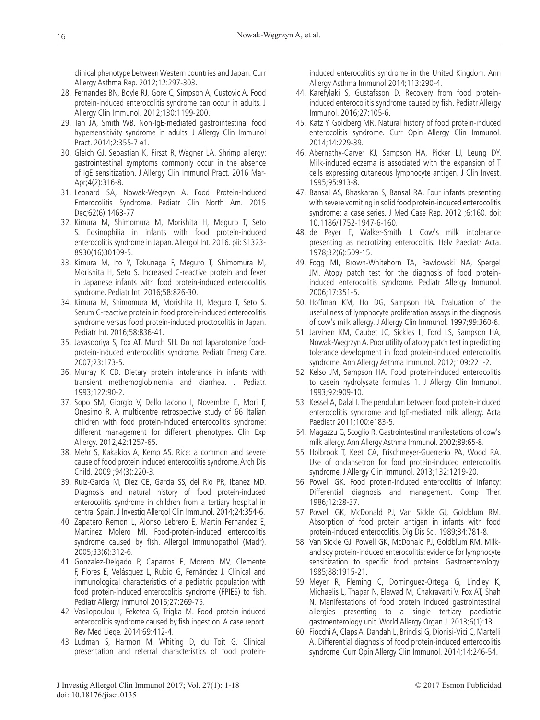clinical phenotype between Western countries and Japan. Curr Allergy Asthma Rep. 2012;12:297-303.

- 28. Fernandes BN, Boyle RJ, Gore C, Simpson A, Custovic A. Food protein-induced enterocolitis syndrome can occur in adults. J Allergy Clin Immunol. 2012;130:1199-200.
- 29. Tan JA, Smith WB. Non-IgE-mediated gastrointestinal food hypersensitivity syndrome in adults. J Allergy Clin Immunol Pract. 2014;2:355-7 e1.
- 30. Gleich GJ, Sebastian K, Firszt R, Wagner LA. Shrimp allergy: gastrointestinal symptoms commonly occur in the absence of IgE sensitization. J Allergy Clin Immunol Pract. 2016 Mar-Apr;4(2):316-8.
- 31. Leonard SA, Nowak-Wegrzyn A. Food Protein-Induced Enterocolitis Syndrome. Pediatr Clin North Am. 2015 Dec;62(6):1463-77
- 32. Kimura M, Shimomura M, Morishita H, Meguro T, Seto S. Eosinophilia in infants with food protein-induced enterocolitis syndrome in Japan. Allergol Int. 2016. pii: S1323- 8930(16)30109-5.
- 33. Kimura M, Ito Y, Tokunaga F, Meguro T, Shimomura M, Morishita H, Seto S. Increased C-reactive protein and fever in Japanese infants with food protein-induced enterocolitis syndrome. Pediatr Int. 2016;58:826-30.
- 34. Kimura M, Shimomura M, Morishita H, Meguro T, Seto S. Serum C-reactive protein in food protein-induced enterocolitis syndrome versus food protein-induced proctocolitis in Japan. Pediatr Int. 2016;58:836-41.
- 35. Jayasooriya S, Fox AT, Murch SH. Do not laparotomize foodprotein-induced enterocolitis syndrome. Pediatr Emerg Care. 2007;23:173-5.
- 36. Murray K CD. Dietary protein intolerance in infants with transient methemoglobinemia and diarrhea. J Pediatr. 1993;122:90-2.
- 37. Sopo SM, Giorgio V, Dello Iacono I, Novembre E, Mori F, Onesimo R. A multicentre retrospective study of 66 Italian children with food protein-induced enterocolitis syndrome: different management for different phenotypes. Clin Exp Allergy. 2012;42:1257-65.
- 38. Mehr S, Kakakios A, Kemp AS. Rice: a common and severe cause of food protein induced enterocolitis syndrome. Arch Dis Child. 2009 ;94(3):220-3.
- 39. Ruiz-Garcia M, Diez CE, Garcia SS, del Rio PR, Ibanez MD. Diagnosis and natural history of food protein-induced enterocolitis syndrome in children from a tertiary hospital in central Spain. J Investig Allergol Clin Immunol. 2014;24:354-6.
- 40. Zapatero Remon L, Alonso Lebrero E, Martin Fernandez E, Martinez Molero MI. Food-protein-induced enterocolitis syndrome caused by fish. Allergol Immunopathol (Madr). 2005;33(6):312-6.
- 41. Gonzalez-Delgado P, Caparros E, Moreno MV, Clemente F, Flores E, Velásquez L, Rubio G, Fernández J. Clinical and immunological characteristics of a pediatric population with food protein-induced enterocolitis syndrome (FPIES) to fish. Pediatr Allergy Immunol 2016;27:269-75.
- 42. Vasilopoulou I, Feketea G, Trigka M. Food protein-induced enterocolitis syndrome caused by fish ingestion. A case report. Rev Med Liege. 2014;69:412-4.
- 43. Ludman S, Harmon M, Whiting D, du Toit G. Clinical presentation and referral characteristics of food protein-

induced enterocolitis syndrome in the United Kingdom. Ann Allergy Asthma Immunol 2014;113:290-4.

- 44. Karefylaki S, Gustafsson D. Recovery from food proteininduced enterocolitis syndrome caused by fish. Pediatr Allergy Immunol. 2016;27:105-6.
- 45. Katz Y, Goldberg MR. Natural history of food protein-induced enterocolitis syndrome. Curr Opin Allergy Clin Immunol. 2014;14:229-39.
- 46. Abernathy-Carver KJ, Sampson HA, Picker LJ, Leung DY. Milk-induced eczema is associated with the expansion of T cells expressing cutaneous lymphocyte antigen. J Clin Invest. 1995;95:913-8.
- 47. Bansal AS, Bhaskaran S, Bansal RA. Four infants presenting with severe vomiting in solid food protein-induced enterocolitis syndrome: a case series. J Med Case Rep. 2012 ;6:160. doi: 10.1186/1752-1947-6-160.
- 48. de Peyer E, Walker-Smith J. Cow's milk intolerance presenting as necrotizing enterocolitis. Helv Paediatr Acta. 1978;32(6):509-15.
- 49. Fogg MI, Brown-Whitehorn TA, Pawlowski NA, Spergel JM. Atopy patch test for the diagnosis of food proteininduced enterocolitis syndrome. Pediatr Allergy Immunol. 2006;17:351-5.
- 50. Hoffman KM, Ho DG, Sampson HA. Evaluation of the usefullness of lymphocyte proliferation assays in the diagnosis of cow's milk allergy. J Allergy Clin Immunol. 1997;99:360-6.
- 51. Jarvinen KM, Caubet JC, Sickles L, Ford LS, Sampson HA, Nowak-Wegrzyn A. Poor utility of atopy patch test in predicting tolerance development in food protein-induced enterocolitis syndrome. Ann Allergy Asthma Immunol. 2012;109:221-2.
- 52. Kelso JM, Sampson HA. Food protein-induced enterocolitis to casein hydrolysate formulas 1. J Allergy Clin Immunol. 1993;92:909-10.
- 53. Kessel A, Dalal I. The pendulum between food protein-induced enterocolitis syndrome and IgE-mediated milk allergy. Acta Paediatr 2011;100:e183-5.
- 54. Magazzu G, Scoglio R. Gastrointestinal manifestations of cow's milk allergy. Ann Allergy Asthma Immunol. 2002;89:65-8.
- 55. Holbrook T, Keet CA, Frischmeyer-Guerrerio PA, Wood RA. Use of ondansetron for food protein-induced enterocolitis syndrome. J Allergy Clin Immunol. 2013;132:1219-20.
- 56. Powell GK. Food protein-induced enterocolitis of infancy: Differential diagnosis and management. Comp Ther. 1986;12:28-37.
- 57. Powell GK, McDonald PJ, Van Sickle GJ, Goldblum RM. Absorption of food protein antigen in infants with food protein-induced enterocolitis. Dig Dis Sci. 1989;34:781-8.
- 58. Van Sickle GJ, Powell GK, McDonald PJ, Goldblum RM. Milkand soy protein-induced enterocolitis: evidence for lymphocyte sensitization to specific food proteins. Gastroenterology. 1985;88:1915-21.
- 59. Meyer R, Fleming C, Dominguez-Ortega G, Lindley K, Michaelis L, Thapar N, Elawad M, Chakravarti V, Fox AT, Shah N. Manifestations of food protein induced gastrointestinal allergies presenting to a single tertiary paediatric gastroenterology unit. World Allergy Organ J. 2013;6(1):13.
- 60. Fiocchi A, Claps A, Dahdah L, Brindisi G, Dionisi-Vici C, Martelli A. Differential diagnosis of food protein-induced enterocolitis syndrome. Curr Opin Allergy Clin Immunol. 2014;14:246-54.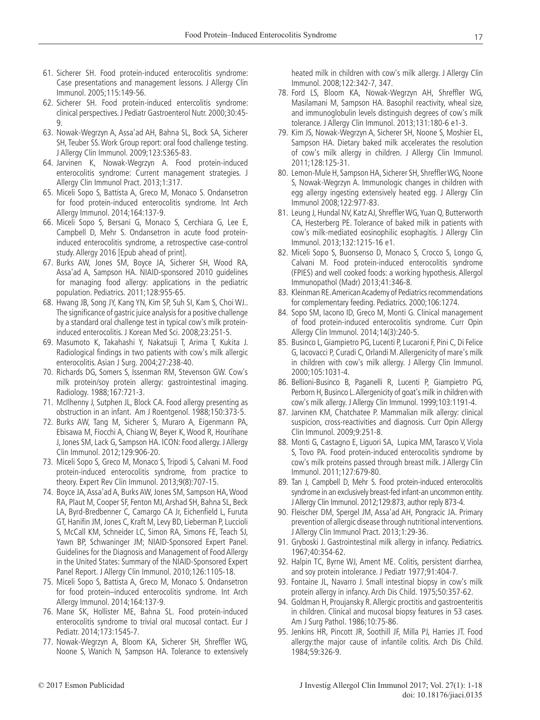- 61. Sicherer SH. Food protein-induced enterocolitis syndrome: Case presentations and management lessons. J Allergy Clin Immunol. 2005;115:149-56.
- 62. Sicherer SH. Food protein-induced entercolitis syndrome: clinical perspectives. J Pediatr Gastroenterol Nutr. 2000;30:45- 9.
- 63. Nowak-Wegrzyn A, Assa'ad AH, Bahna SL, Bock SA, Sicherer SH, Teuber SS. Work Group report: oral food challenge testing. J Allergy Clin Immunol. 2009;123:S365-83.
- 64. Jarvinen K, Nowak-Wegrzyn A. Food protein-induced enterocolitis syndrome: Current management strategies. J Allergy Clin Immunol Pract. 2013;1:317.
- 65. Miceli Sopo S, Battista A, Greco M, Monaco S. Ondansetron for food protein-induced enterocolitis syndrome. Int Arch Allergy Immunol. 2014;164:137-9.
- 66. Miceli Sopo S, Bersani G, Monaco S, Cerchiara G, Lee E, Campbell D, Mehr S. Ondansetron in acute food proteininduced enterocolitis syndrome, a retrospective case-control study. Allergy 2016 [Epub ahead of print].
- 67. Burks AW, Jones SM, Boyce JA, Sicherer SH, Wood RA, Assa'ad A, Sampson HA. NIAID-sponsored 2010 guidelines for managing food allergy: applications in the pediatric population. Pediatrics. 2011;128:955-65.
- 68. Hwang JB, Song JY, Kang YN, Kim SP, Suh SI, Kam S, Choi WJ.. The significance of gastric juice analysis for a positive challenge by a standard oral challenge test in typical cow's milk proteininduced enterocolitis. J Korean Med Sci. 2008;23:251-5.
- 69. Masumoto K, Takahashi Y, Nakatsuji T, Arima T, Kukita J. Radiological findings in two patients with cow's milk allergic enterocolitis. Asian J Surg. 2004;27:238-40.
- 70. Richards DG, Somers S, Issenman RM, Stevenson GW. Cow's milk protein/soy protein allergy: gastrointestinal imaging. Radiology. 1988;167:721-3.
- 71. McIlhenny J, Sutphen JL, Block CA. Food allergy presenting as obstruction in an infant. Am J Roentgenol. 1988;150:373-5.
- 72. Burks AW, Tang M, Sicherer S, Muraro A, Eigenmann PA, Ebisawa M, Fiocchi A, Chiang W, Beyer K, Wood R, Hourihane J, Jones SM, Lack G, Sampson HA. ICON: Food allergy. J Allergy Clin Immunol. 2012;129:906-20.
- 73. Miceli Sopo S, Greco M, Monaco S, Tripodi S, Calvani M. Food protein-induced enterocolitis syndrome, from practice to theory. Expert Rev Clin Immunol. 2013;9(8):707-15.
- 74. Boyce JA, Assa'ad A, Burks AW, Jones SM, Sampson HA, Wood RA, Plaut M, Cooper SF, Fenton MJ, Arshad SH, Bahna SL, Beck LA, Byrd-Bredbenner C, Camargo CA Jr, Eichenfield L, Furuta GT, Hanifin JM, Jones C, Kraft M, Levy BD, Lieberman P, Luccioli S, McCall KM, Schneider LC, Simon RA, Simons FE, Teach SJ, Yawn BP, Schwaninger JM; NIAID-Sponsored Expert Panel. Guidelines for the Diagnosis and Management of Food Allergy in the United States: Summary of the NIAID-Sponsored Expert Panel Report. J Allergy Clin Immunol. 2010;126:1105-18.
- 75. Miceli Sopo S, Battista A, Greco M, Monaco S. Ondansetron for food protein–induced enterocolitis syndrome. Int Arch Allergy Immunol. 2014;164:137-9.
- 76. Mane SK, Hollister ME, Bahna SL. Food protein-induced enterocolitis syndrome to trivial oral mucosal contact. Eur J Pediatr. 2014;173:1545-7.
- 77. Nowak-Wegrzyn A, Bloom KA, Sicherer SH, Shreffler WG, Noone S, Wanich N, Sampson HA. Tolerance to extensively

heated milk in children with cow's milk allergy. J Allergy Clin Immunol. 2008;122:342-7, 347.

- 78. Ford LS, Bloom KA, Nowak-Wegrzyn AH, Shreffler WG, Masilamani M, Sampson HA. Basophil reactivity, wheal size, and immunoglobulin levels distinguish degrees of cow's milk tolerance. J Allergy Clin Immunol. 2013;131:180-6 e1-3.
- 79. Kim JS, Nowak-Wegrzyn A, Sicherer SH, Noone S, Moshier EL, Sampson HA. Dietary baked milk accelerates the resolution of cow's milk allergy in children. J Allergy Clin Immunol. 2011;128:125-31.
- 80. Lemon-Mule H, Sampson HA, Sicherer SH, Shreffler WG, Noone S, Nowak-Wegrzyn A. Immunologic changes in children with egg allergy ingesting extensively heated egg. J Allergy Clin Immunol 2008;122:977-83.
- 81. Leung J, Hundal NV, Katz AJ, Shreffler WG, Yuan Q, Butterworth CA, Hesterberg PE. Tolerance of baked milk in patients with cow's milk-mediated eosinophilic esophagitis. J Allergy Clin Immunol. 2013;132:1215-16 e1.
- 82. Miceli Sopo S, Buonsenso D, Monaco S, Crocco S, Longo G, Calvani M. Food protein-induced enterocolitis syndrome (FPIES) and well cooked foods: a working hypothesis. Allergol Immunopathol (Madr) 2013;41:346-8.
- 83. Kleinman RE. American Academy of Pediatrics recommendations for complementary feeding. Pediatrics. 2000;106:1274.
- 84. Sopo SM, Iacono ID, Greco M, Monti G. Clinical management of food protein-induced enterocolitis syndrome. Curr Opin Allergy Clin Immunol. 2014;14(3):240-5.
- 85. Businco L, Giampietro PG, Lucenti P, Lucaroni F, Pini C, Di Felice G, Iacovacci P, Curadi C, Orlandi M. Allergenicity of mare's milk in children with cow's milk allergy. J Allergy Clin Immunol. 2000;105:1031-4.
- 86. Bellioni-Businco B, Paganelli R, Lucenti P, Giampietro PG, Perborn H, Businco L. Allergenicity of goat's milk in children with cow's milk allergy. J Allergy Clin Immunol. 1999;103:1191-4.
- 87. Jarvinen KM, Chatchatee P. Mammalian milk allergy: clinical suspicion, cross-reactivities and diagnosis. Curr Opin Allergy Clin Immunol. 2009;9:251-8.
- 88. Monti G, Castagno E, Liguori SA, Lupica MM, Tarasco V, Viola S, Tovo PA. Food protein-induced enterocolitis syndrome by cow's milk proteins passed through breast milk. J Allergy Clin Immunol. 2011;127:679-80.
- 89. Tan J, Campbell D, Mehr S. Food protein-induced enterocolitis syndrome in an exclusively breast-fed infant-an uncommon entity. J Allergy Clin Immunol. 2012;129:873, author reply 873-4.
- 90. Fleischer DM, Spergel JM, Assa'ad AH, Pongracic JA. Primary prevention of allergic disease through nutritional interventions. J Allergy Clin Immunol Pract. 2013;1:29-36.
- 91. Gryboski J. Gastrointestinal milk allergy in infancy. Pediatrics. 1967;40:354-62.
- 92. Halpin TC, Byrne WJ, Ament ME. Colitis, persistent diarrhea, and soy protein intolerance. J Pediatr 1977;91:404-7.
- 93. Fontaine JL, Navarro J. Small intestinal biopsy in cow's milk protein allergy in infancy. Arch Dis Child. 1975;50:357-62.
- 94. Goldman H, Proujansky R. Allergic proctitis and gastroenteritis in children. Clinical and mucosal biopsy features in 53 cases. Am J Surg Pathol. 1986;10:75-86.
- 95. Jenkins HR, Pincott JR, Soothill JF, Milla PJ, Harries JT. Food allergy:the major cause of infantile colitis. Arch Dis Child. 1984;59:326-9.